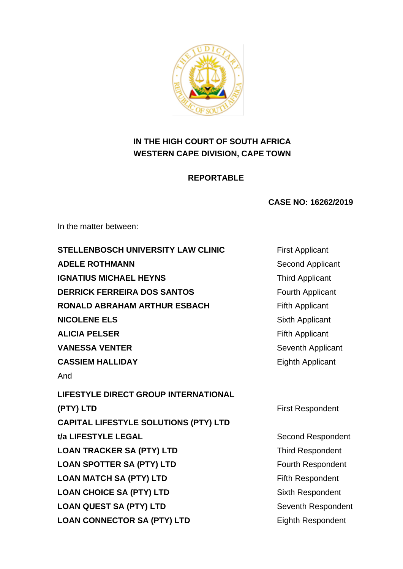

# **IN THE HIGH COURT OF SOUTH AFRICA WESTERN CAPE DIVISION, CAPE TOWN**

# **REPORTABLE**

# **CASE NO: 16262/2019**

In the matter between:

| <b>STELLENBOSCH UNIVERSITY LAW CLINIC</b>    | <b>First Applicant</b>   |
|----------------------------------------------|--------------------------|
| <b>ADELE ROTHMANN</b>                        | Second Applicant         |
| <b>IGNATIUS MICHAEL HEYNS</b>                | <b>Third Applicant</b>   |
| <b>DERRICK FERREIRA DOS SANTOS</b>           | Fourth Applicant         |
| <b>RONALD ABRAHAM ARTHUR ESBACH</b>          | <b>Fifth Applicant</b>   |
| <b>NICOLENE ELS</b>                          | Sixth Applicant          |
| <b>ALICIA PELSER</b>                         | <b>Fifth Applicant</b>   |
| <b>VANESSA VENTER</b>                        | Seventh Applicant        |
| <b>CASSIEM HALLIDAY</b>                      | <b>Eighth Applicant</b>  |
| And                                          |                          |
| <b>LIFESTYLE DIRECT GROUP INTERNATIONAL</b>  |                          |
| (PTY) LTD                                    | <b>First Respondent</b>  |
| <b>CAPITAL LIFESTYLE SOLUTIONS (PTY) LTD</b> |                          |
| t/a LIFESTYLE LEGAL                          | <b>Second Respondent</b> |
| <b>LOAN TRACKER SA (PTY) LTD</b>             | <b>Third Respondent</b>  |
| <b>LOAN SPOTTER SA (PTY) LTD</b>             | Fourth Respondent        |
| <b>LOAN MATCH SA (PTY) LTD</b>               | <b>Fifth Respondent</b>  |
| <b>LOAN CHOICE SA (PTY) LTD</b>              | Sixth Respondent         |
| <b>LOAN QUEST SA (PTY) LTD</b>               | Seventh Respondent       |
| <b>LOAN CONNECTOR SA (PTY) LTD</b>           | <b>Eighth Respondent</b> |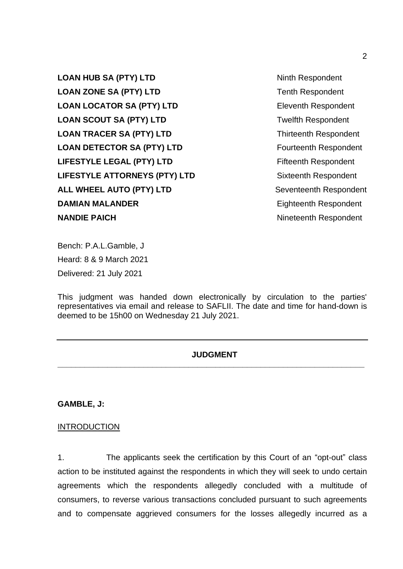**LOAN HUB SA (PTY) LTD** Ninth Respondent **LOAN ZONE SA (PTY) LTD** Tenth Respondent **LOAN LOCATOR SA (PTY) LTD** Eleventh Respondent **LOAN SCOUT SA (PTY) LTD** Twelfth Respondent **LOAN TRACER SA (PTY) LTD** Thirteenth Respondent **LOAN DETECTOR SA (PTY) LTD** Fourteenth Respondent **LIFESTYLE LEGAL (PTY) LTD** Fifteenth Respondent **LIFESTYLE ATTORNEYS (PTY) LTD** Sixteenth Respondent ALL WHEEL AUTO (PTY) LTD Seventeenth Respondent **DAMIAN MALANDER** Eighteenth Respondent **NANDIE PAICH** Nineteenth Respondent

Bench: P.A.L.Gamble, J Heard: 8 & 9 March 2021 Delivered: 21 July 2021

This judgment was handed down electronically by circulation to the parties' representatives via email and release to SAFLII. The date and time for hand-down is deemed to be 15h00 on Wednesday 21 July 2021.

# **JUDGMENT \_\_\_\_\_\_\_\_\_\_\_\_\_\_\_\_\_\_\_\_\_\_\_\_\_\_\_\_\_\_\_\_\_\_\_\_\_\_\_\_\_\_\_\_\_\_\_\_\_\_\_\_\_\_\_\_\_\_\_\_\_\_\_\_\_\_\_\_**

**GAMBLE, J:**

### **INTRODUCTION**

1. The applicants seek the certification by this Court of an "opt-out" class action to be instituted against the respondents in which they will seek to undo certain agreements which the respondents allegedly concluded with a multitude of consumers, to reverse various transactions concluded pursuant to such agreements and to compensate aggrieved consumers for the losses allegedly incurred as a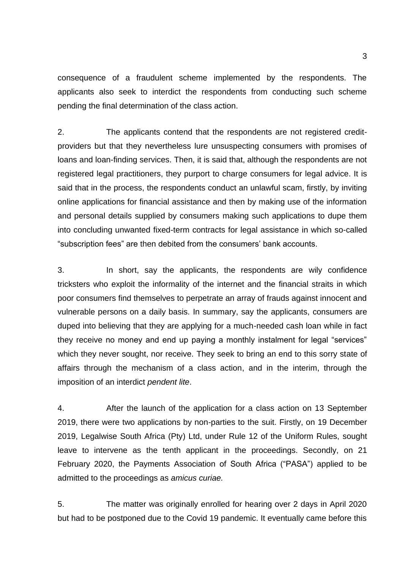consequence of a fraudulent scheme implemented by the respondents. The applicants also seek to interdict the respondents from conducting such scheme pending the final determination of the class action.

2. The applicants contend that the respondents are not registered creditproviders but that they nevertheless lure unsuspecting consumers with promises of loans and loan-finding services. Then, it is said that, although the respondents are not registered legal practitioners, they purport to charge consumers for legal advice. It is said that in the process, the respondents conduct an unlawful scam, firstly, by inviting online applications for financial assistance and then by making use of the information and personal details supplied by consumers making such applications to dupe them into concluding unwanted fixed-term contracts for legal assistance in which so-called "subscription fees" are then debited from the consumers' bank accounts.

3. In short, say the applicants, the respondents are wily confidence tricksters who exploit the informality of the internet and the financial straits in which poor consumers find themselves to perpetrate an array of frauds against innocent and vulnerable persons on a daily basis. In summary, say the applicants, consumers are duped into believing that they are applying for a much-needed cash loan while in fact they receive no money and end up paying a monthly instalment for legal "services" which they never sought, nor receive. They seek to bring an end to this sorry state of affairs through the mechanism of a class action, and in the interim, through the imposition of an interdict *pendent lite*.

4. After the launch of the application for a class action on 13 September 2019, there were two applications by non-parties to the suit. Firstly, on 19 December 2019, Legalwise South Africa (Pty) Ltd, under Rule 12 of the Uniform Rules, sought leave to intervene as the tenth applicant in the proceedings. Secondly, on 21 February 2020, the Payments Association of South Africa ("PASA") applied to be admitted to the proceedings as *amicus curiae.* 

5. The matter was originally enrolled for hearing over 2 days in April 2020 but had to be postponed due to the Covid 19 pandemic. It eventually came before this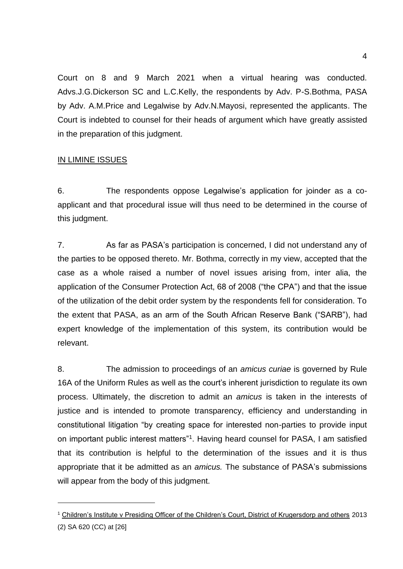Court on 8 and 9 March 2021 when a virtual hearing was conducted. Advs.J.G.Dickerson SC and L.C.Kelly, the respondents by Adv. P-S.Bothma, PASA by Adv. A.M.Price and Legalwise by Adv.N.Mayosi, represented the applicants. The Court is indebted to counsel for their heads of argument which have greatly assisted in the preparation of this judgment.

# IN LIMINE ISSUES

6. The respondents oppose Legalwise's application for joinder as a coapplicant and that procedural issue will thus need to be determined in the course of this judgment.

7. As far as PASA's participation is concerned, I did not understand any of the parties to be opposed thereto. Mr. Bothma, correctly in my view, accepted that the case as a whole raised a number of novel issues arising from, inter alia, the application of the Consumer Protection Act, 68 of 2008 ("the CPA") and that the issue of the utilization of the debit order system by the respondents fell for consideration. To the extent that PASA, as an arm of the South African Reserve Bank ("SARB"), had expert knowledge of the implementation of this system, its contribution would be relevant.

8. The admission to proceedings of an *amicus curiae* is governed by Rule 16A of the Uniform Rules as well as the court's inherent jurisdiction to regulate its own process. Ultimately, the discretion to admit an *amicus* is taken in the interests of justice and is intended to promote transparency, efficiency and understanding in constitutional litigation "by creating space for interested non-parties to provide input on important public interest matters"<sup>1</sup>. Having heard counsel for PASA, I am satisfied that its contribution is helpful to the determination of the issues and it is thus appropriate that it be admitted as an *amicus.* The substance of PASA's submissions will appear from the body of this judgment.

<sup>&</sup>lt;sup>1</sup> Children's Institute v Presiding Officer of the Children's Court, District of Krugersdorp and others 2013 (2) SA 620 (CC) at [26]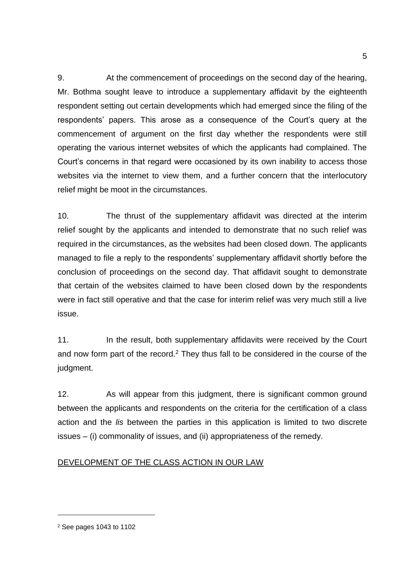9. At the commencement of proceedings on the second day of the hearing, Mr. Bothma sought leave to introduce a supplementary affidavit by the eighteenth respondent setting out certain developments which had emerged since the filing of the respondents' papers. This arose as a consequence of the Court's query at the commencement of argument on the first day whether the respondents were still operating the various internet websites of which the applicants had complained. The Court's concerns in that regard were occasioned by its own inability to access those websites via the internet to view them, and a further concern that the interlocutory relief might be moot in the circumstances.

10. The thrust of the supplementary affidavit was directed at the interim relief sought by the applicants and intended to demonstrate that no such relief was required in the circumstances, as the websites had been closed down. The applicants managed to file a reply to the respondents' supplementary affidavit shortly before the conclusion of proceedings on the second day. That affidavit sought to demonstrate that certain of the websites claimed to have been closed down by the respondents were in fact still operative and that the case for interim relief was very much still a live issue.

11. In the result, both supplementary affidavits were received by the Court and now form part of the record.<sup>2</sup> They thus fall to be considered in the course of the judgment.

12. As will appear from this judgment, there is significant common ground between the applicants and respondents on the criteria for the certification of a class action and the *lis* between the parties in this application is limited to two discrete issues – (i) commonality of issues, and (ii) appropriateness of the remedy.

# DEVELOPMENT OF THE CLASS ACTION IN OUR LAW

<sup>2</sup> See pages 1043 to 1102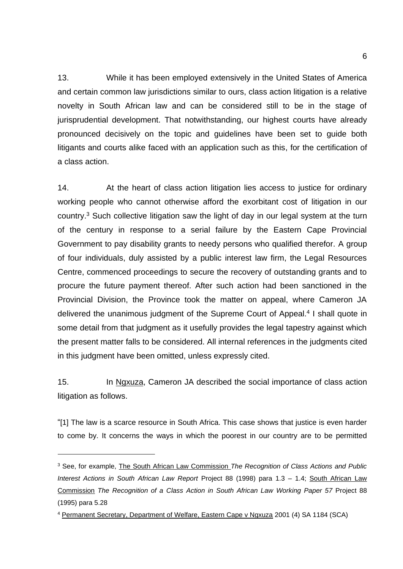13. While it has been employed extensively in the United States of America and certain common law jurisdictions similar to ours, class action litigation is a relative novelty in South African law and can be considered still to be in the stage of jurisprudential development. That notwithstanding, our highest courts have already pronounced decisively on the topic and guidelines have been set to guide both litigants and courts alike faced with an application such as this, for the certification of a class action.

14. At the heart of class action litigation lies access to justice for ordinary working people who cannot otherwise afford the exorbitant cost of litigation in our country.<sup>3</sup> Such collective litigation saw the light of day in our legal system at the turn of the century in response to a serial failure by the Eastern Cape Provincial Government to pay disability grants to needy persons who qualified therefor. A group of four individuals, duly assisted by a public interest law firm, the Legal Resources Centre, commenced proceedings to secure the recovery of outstanding grants and to procure the future payment thereof. After such action had been sanctioned in the Provincial Division, the Province took the matter on appeal, where Cameron JA delivered the unanimous judgment of the Supreme Court of Appeal. 4 I shall quote in some detail from that judgment as it usefully provides the legal tapestry against which the present matter falls to be considered. All internal references in the judgments cited in this judgment have been omitted, unless expressly cited.

15. In Ngxuza, Cameron JA described the social importance of class action litigation as follows.

"[1] The law is a scarce resource in South Africa. This case shows that justice is even harder to come by. It concerns the ways in which the poorest in our country are to be permitted

<sup>3</sup> See, for example, The South African Law Commission *The Recognition of Class Actions and Public Interest Actions in South African Law Report* Project 88 (1998) para 1.3 – 1.4; South African Law Commission *The Recognition of a Class Action in South African Law Working Paper 57* Project 88 (1995) para 5.28

<sup>4</sup> Permanent Secretary, Department of Welfare, Eastern Cape v Ngxuza 2001 (4) SA 1184 (SCA)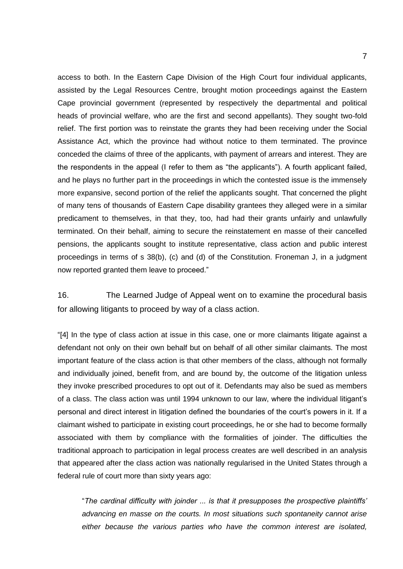access to both. In the Eastern Cape Division of the High Court four individual applicants, assisted by the Legal Resources Centre, brought motion proceedings against the Eastern Cape provincial government (represented by respectively the departmental and political heads of provincial welfare, who are the first and second appellants). They sought two-fold relief. The first portion was to reinstate the grants they had been receiving under the Social Assistance Act, which the province had without notice to them terminated. The province conceded the claims of three of the applicants, with payment of arrears and interest. They are the respondents in the appeal (I refer to them as "the applicants"). A fourth applicant failed, and he plays no further part in the proceedings in which the contested issue is the immensely more expansive, second portion of the relief the applicants sought. That concerned the plight of many tens of thousands of Eastern Cape disability grantees they alleged were in a similar predicament to themselves, in that they, too, had had their grants unfairly and unlawfully terminated. On their behalf, aiming to secure the reinstatement en masse of their cancelled pensions, the applicants sought to institute representative, class action and public interest proceedings in terms of s 38(b), (c) and (d) of the Constitution. Froneman J, in a judgment now reported granted them leave to proceed."

16. The Learned Judge of Appeal went on to examine the procedural basis for allowing litigants to proceed by way of a class action.

"[4] In the type of class action at issue in this case, one or more claimants litigate against a defendant not only on their own behalf but on behalf of all other similar claimants. The most important feature of the class action is that other members of the class, although not formally and individually joined, benefit from, and are bound by, the outcome of the litigation unless they invoke prescribed procedures to opt out of it. Defendants may also be sued as members of a class. The class action was until 1994 unknown to our law, where the individual litigant's personal and direct interest in litigation defined the boundaries of the court's powers in it. If a claimant wished to participate in existing court proceedings, he or she had to become formally associated with them by compliance with the formalities of joinder. The difficulties the traditional approach to participation in legal process creates are well described in an analysis that appeared after the class action was nationally regularised in the United States through a federal rule of court more than sixty years ago:

"*The cardinal difficulty with joinder ... is that it presupposes the prospective plaintiffs' advancing en masse on the courts. In most situations such spontaneity cannot arise either because the various parties who have the common interest are isolated,*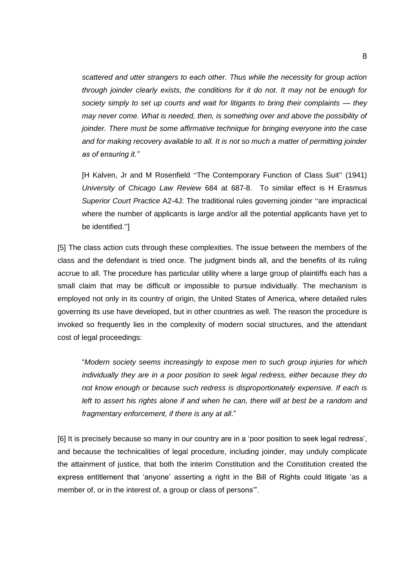*scattered and utter strangers to each other. Thus while the necessity for group action through joinder clearly exists, the conditions for it do not. It may not be enough for society simply to set up courts and wait for litigants to bring their complaints — they may never come. What is needed, then, is something over and above the possibility of joinder. There must be some affirmative technique for bringing everyone into the case and for making recovery available to all. It is not so much a matter of permitting joinder as of ensuring it."*

[H Kalven, Jr and M Rosenfield "The Contemporary Function of Class Suit" (1941) *University of Chicago Law Review* 684 at 687-8. To similar effect is H Erasmus *Superior Court Practice* A2-4J: The traditional rules governing joinder "are impractical where the number of applicants is large and/or all the potential applicants have yet to be identified."]

[5] The class action cuts through these complexities. The issue between the members of the class and the defendant is tried once. The judgment binds all, and the benefits of its ruling accrue to all. The procedure has particular utility where a large group of plaintiffs each has a small claim that may be difficult or impossible to pursue individually. The mechanism is employed not only in its country of origin, the United States of America, where detailed rules governing its use have developed, but in other countries as well. The reason the procedure is invoked so frequently lies in the complexity of modern social structures, and the attendant cost of legal proceedings:

"*Modern society seems increasingly to expose men to such group injuries for which individually they are in a poor position to seek legal redress, either because they do not know enough or because such redress is disproportionately expensive. If each is left to assert his rights alone if and when he can, there will at best be a random and fragmentary enforcement, if there is any at all*."

[6] It is precisely because so many in our country are in a 'poor position to seek legal redress', and because the technicalities of legal procedure, including joinder, may unduly complicate the attainment of justice, that both the interim Constitution and the Constitution created the express entitlement that 'anyone' asserting a right in the Bill of Rights could litigate 'as a member of, or in the interest of, a group or class of persons'".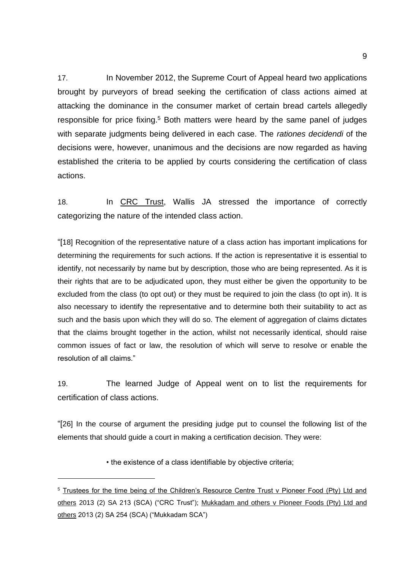17. In November 2012, the Supreme Court of Appeal heard two applications brought by purveyors of bread seeking the certification of class actions aimed at attacking the dominance in the consumer market of certain bread cartels allegedly responsible for price fixing.<sup>5</sup> Both matters were heard by the same panel of judges with separate judgments being delivered in each case. The *rationes decidendi* of the decisions were, however, unanimous and the decisions are now regarded as having established the criteria to be applied by courts considering the certification of class actions.

18. In CRC Trust, Wallis JA stressed the importance of correctly categorizing the nature of the intended class action.

"[18] Recognition of the representative nature of a class action has important implications for determining the requirements for such actions. If the action is representative it is essential to identify, not necessarily by name but by description, those who are being represented. As it is their rights that are to be adjudicated upon, they must either be given the opportunity to be excluded from the class (to opt out) or they must be required to join the class (to opt in). It is also necessary to identify the representative and to determine both their suitability to act as such and the basis upon which they will do so. The element of aggregation of claims dictates that the claims brought together in the action, whilst not necessarily identical, should raise common issues of fact or law, the resolution of which will serve to resolve or enable the resolution of all claims."

19. The learned Judge of Appeal went on to list the requirements for certification of class actions.

"[26] In the course of argument the presiding judge put to counsel the following list of the elements that should guide a court in making a certification decision. They were:

• the existence of a class identifiable by objective criteria;

<sup>&</sup>lt;sup>5</sup> Trustees for the time being of the Children's Resource Centre Trust v Pioneer Food (Pty) Ltd and others 2013 (2) SA 213 (SCA) ("CRC Trust"); Mukkadam and others v Pioneer Foods (Pty) Ltd and others 2013 (2) SA 254 (SCA) ("Mukkadam SCA")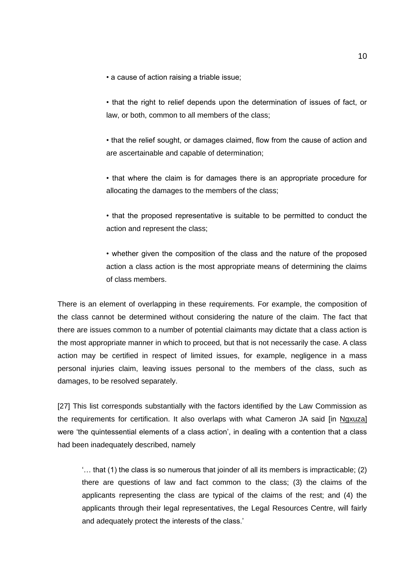• a cause of action raising a triable issue;

• that the right to relief depends upon the determination of issues of fact, or law, or both, common to all members of the class;

• that the relief sought, or damages claimed, flow from the cause of action and are ascertainable and capable of determination;

• that where the claim is for damages there is an appropriate procedure for allocating the damages to the members of the class;

• that the proposed representative is suitable to be permitted to conduct the action and represent the class;

• whether given the composition of the class and the nature of the proposed action a class action is the most appropriate means of determining the claims of class members.

There is an element of overlapping in these requirements. For example, the composition of the class cannot be determined without considering the nature of the claim. The fact that there are issues common to a number of potential claimants may dictate that a class action is the most appropriate manner in which to proceed, but that is not necessarily the case. A class action may be certified in respect of limited issues, for example, negligence in a mass personal injuries claim, leaving issues personal to the members of the class, such as damages, to be resolved separately.

[27] This list corresponds substantially with the factors identified by the Law Commission as the requirements for certification. It also overlaps with what Cameron JA said [in Ngxuza] were 'the quintessential elements of a class action', in dealing with a contention that a class had been inadequately described, namely

'… that (1) the class is so numerous that joinder of all its members is impracticable; (2) there are questions of law and fact common to the class; (3) the claims of the applicants representing the class are typical of the claims of the rest; and (4) the applicants through their legal representatives, the Legal Resources Centre, will fairly and adequately protect the interests of the class.'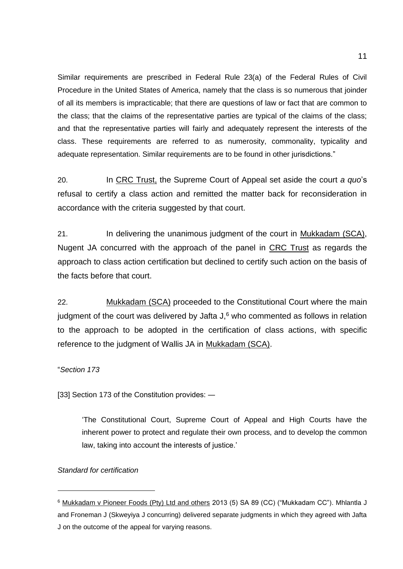Similar requirements are prescribed in Federal Rule 23(a) of the Federal Rules of Civil Procedure in the United States of America, namely that the class is so numerous that joinder of all its members is impracticable; that there are questions of law or fact that are common to the class; that the claims of the representative parties are typical of the claims of the class; and that the representative parties will fairly and adequately represent the interests of the class. These requirements are referred to as numerosity, commonality, typicality and adequate representation. Similar requirements are to be found in other jurisdictions."

20. In CRC Trust, the Supreme Court of Appeal set aside the court *a quo*'s refusal to certify a class action and remitted the matter back for reconsideration in accordance with the criteria suggested by that court.

21. In delivering the unanimous judgment of the court in Mukkadam (SCA), Nugent JA concurred with the approach of the panel in CRC Trust as regards the approach to class action certification but declined to certify such action on the basis of the facts before that court.

22. Mukkadam (SCA) proceeded to the Constitutional Court where the main iudgment of the court was delivered by Jafta  $J<sup>6</sup>$  who commented as follows in relation to the approach to be adopted in the certification of class actions, with specific reference to the judgment of Wallis JA in Mukkadam (SCA).

"*Section 173* 

[33] Section 173 of the Constitution provides: —

'The Constitutional Court, Supreme Court of Appeal and High Courts have the inherent power to protect and regulate their own process, and to develop the common law, taking into account the interests of justice.'

### *Standard for certification*

<sup>6</sup> Mukkadam v Pioneer Foods (Pty) Ltd and others 2013 (5) SA 89 (CC) ("Mukkadam CC"). Mhlantla J and Froneman J (Skweyiya J concurring) delivered separate judgments in which they agreed with Jafta J on the outcome of the appeal for varying reasons.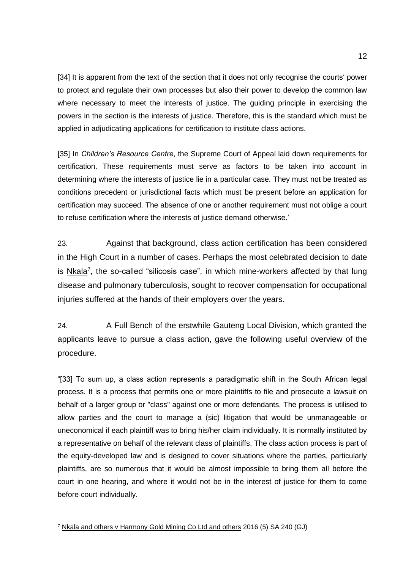[34] It is apparent from the text of the section that it does not only recognise the courts' power to protect and regulate their own processes but also their power to develop the common law where necessary to meet the interests of justice. The guiding principle in exercising the powers in the section is the interests of justice. Therefore, this is the standard which must be applied in adjudicating applications for certification to institute class actions.

[35] In *Children's Resource Centre*, the Supreme Court of Appeal laid down requirements for certification. These requirements must serve as factors to be taken into account in determining where the interests of justice lie in a particular case. They must not be treated as conditions precedent or jurisdictional facts which must be present before an application for certification may succeed. The absence of one or another requirement must not oblige a court to refuse certification where the interests of justice demand otherwise.'

23. Against that background, class action certification has been considered in the High Court in a number of cases. Perhaps the most celebrated decision to date is Nkala<sup>7</sup>, the so-called "silicosis case", in which mine-workers affected by that lung disease and pulmonary tuberculosis, sought to recover compensation for occupational injuries suffered at the hands of their employers over the years.

24. A Full Bench of the erstwhile Gauteng Local Division, which granted the applicants leave to pursue a class action, gave the following useful overview of the procedure.

"[33] To sum up, a class action represents a paradigmatic shift in the South African legal process. It is a process that permits one or more plaintiffs to file and prosecute a lawsuit on behalf of a larger group or "class" against one or more defendants. The process is utilised to allow parties and the court to manage a (sic) litigation that would be unmanageable or uneconomical if each plaintiff was to bring his/her claim individually. It is normally instituted by a representative on behalf of the relevant class of plaintiffs. The class action process is part of the equity-developed law and is designed to cover situations where the parties, particularly plaintiffs, are so numerous that it would be almost impossible to bring them all before the court in one hearing, and where it would not be in the interest of justice for them to come before court individually.

<sup>7</sup> Nkala and others v Harmony Gold Mining Co Ltd and others 2016 (5) SA 240 (GJ)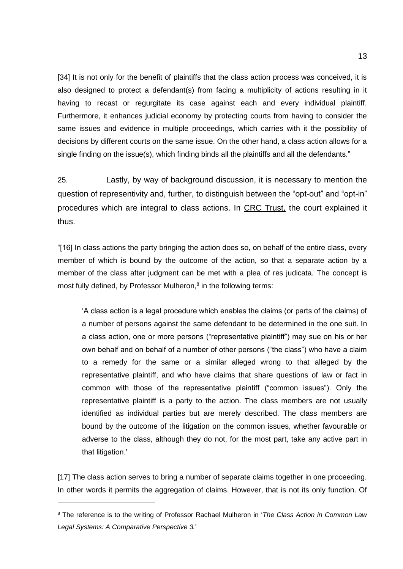[34] It is not only for the benefit of plaintiffs that the class action process was conceived, it is also designed to protect a defendant(s) from facing a multiplicity of actions resulting in it having to recast or regurgitate its case against each and every individual plaintiff. Furthermore, it enhances judicial economy by protecting courts from having to consider the same issues and evidence in multiple proceedings, which carries with it the possibility of decisions by different courts on the same issue. On the other hand, a class action allows for a single finding on the issue(s), which finding binds all the plaintiffs and all the defendants."

25. Lastly, by way of background discussion, it is necessary to mention the question of representivity and, further, to distinguish between the "opt-out" and "opt-in" procedures which are integral to class actions. In CRC Trust, the court explained it thus.

"[16] In class actions the party bringing the action does so, on behalf of the entire class, every member of which is bound by the outcome of the action, so that a separate action by a member of the class after judgment can be met with a plea of res judicata. The concept is most fully defined, by Professor Mulheron,<sup>8</sup> in the following terms:

'A class action is a legal procedure which enables the claims (or parts of the claims) of a number of persons against the same defendant to be determined in the one suit. In a class action, one or more persons ("representative plaintiff") may sue on his or her own behalf and on behalf of a number of other persons ("the class") who have a claim to a remedy for the same or a similar alleged wrong to that alleged by the representative plaintiff, and who have claims that share questions of law or fact in common with those of the representative plaintiff ("common issues"). Only the representative plaintiff is a party to the action. The class members are not usually identified as individual parties but are merely described. The class members are bound by the outcome of the litigation on the common issues, whether favourable or adverse to the class, although they do not, for the most part, take any active part in that litigation.'

[17] The class action serves to bring a number of separate claims together in one proceeding. In other words it permits the aggregation of claims. However, that is not its only function. Of

<sup>8</sup> The reference is to the writing of Professor Rachael Mulheron in '*The Class Action in Common Law Legal Systems: A Comparative Perspective 3.*'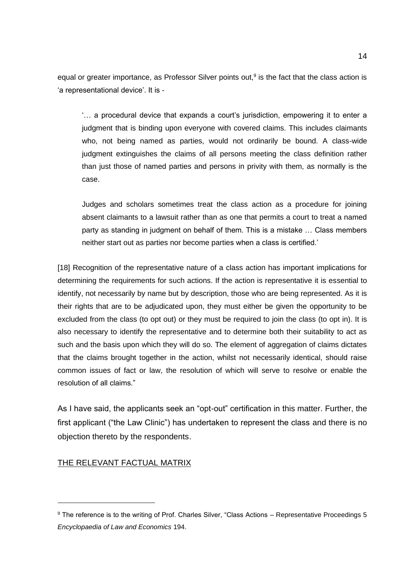equal or greater importance, as Professor Silver points out,<sup>9</sup> is the fact that the class action is 'a representational device'. It is -

'… a procedural device that expands a court's jurisdiction, empowering it to enter a judgment that is binding upon everyone with covered claims. This includes claimants who, not being named as parties, would not ordinarily be bound. A class-wide judgment extinguishes the claims of all persons meeting the class definition rather than just those of named parties and persons in privity with them, as normally is the case.

Judges and scholars sometimes treat the class action as a procedure for joining absent claimants to a lawsuit rather than as one that permits a court to treat a named party as standing in judgment on behalf of them. This is a mistake … Class members neither start out as parties nor become parties when a class is certified.'

[18] Recognition of the representative nature of a class action has important implications for determining the requirements for such actions. If the action is representative it is essential to identify, not necessarily by name but by description, those who are being represented. As it is their rights that are to be adjudicated upon, they must either be given the opportunity to be excluded from the class (to opt out) or they must be required to join the class (to opt in). It is also necessary to identify the representative and to determine both their suitability to act as such and the basis upon which they will do so. The element of aggregation of claims dictates that the claims brought together in the action, whilst not necessarily identical, should raise common issues of fact or law, the resolution of which will serve to resolve or enable the resolution of all claims."

As I have said, the applicants seek an "opt-out" certification in this matter. Further, the first applicant ("the Law Clinic") has undertaken to represent the class and there is no objection thereto by the respondents.

#### THE RELEVANT FACTUAL MATRIX

<sup>9</sup> The reference is to the writing of Prof. Charles Silver, "Class Actions - Representative Proceedings 5 *Encyclopaedia of Law and Economics* 194.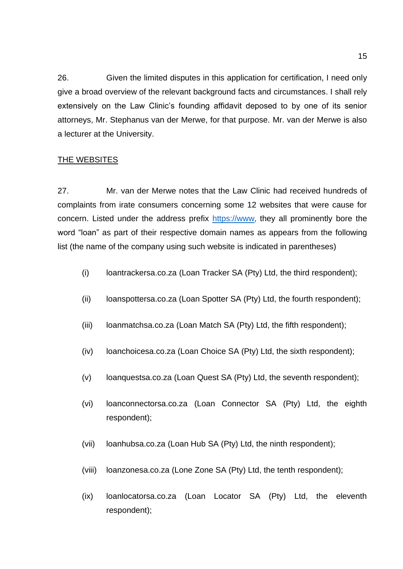26. Given the limited disputes in this application for certification, I need only give a broad overview of the relevant background facts and circumstances. I shall rely extensively on the Law Clinic's founding affidavit deposed to by one of its senior attorneys, Mr. Stephanus van der Merwe, for that purpose. Mr. van der Merwe is also a lecturer at the University.

# THE WEBSITES

27. Mr. van der Merwe notes that the Law Clinic had received hundreds of complaints from irate consumers concerning some 12 websites that were cause for concern. Listed under the address prefix [https://www](https://www/), they all prominently bore the word "loan" as part of their respective domain names as appears from the following list (the name of the company using such website is indicated in parentheses)

- (i) loantrackersa.co.za (Loan Tracker SA (Pty) Ltd, the third respondent);
- (ii) loanspottersa.co.za (Loan Spotter SA (Pty) Ltd, the fourth respondent);
- (iii) loanmatchsa.co.za (Loan Match SA (Pty) Ltd, the fifth respondent);
- (iv) loanchoicesa.co.za (Loan Choice SA (Pty) Ltd, the sixth respondent);
- (v) loanquestsa.co.za (Loan Quest SA (Pty) Ltd, the seventh respondent);
- (vi) loanconnectorsa.co.za (Loan Connector SA (Pty) Ltd, the eighth respondent);
- (vii) loanhubsa.co.za (Loan Hub SA (Pty) Ltd, the ninth respondent);
- (viii) loanzonesa.co.za (Lone Zone SA (Pty) Ltd, the tenth respondent);
- (ix) loanlocatorsa.co.za (Loan Locator SA (Pty) Ltd, the eleventh respondent);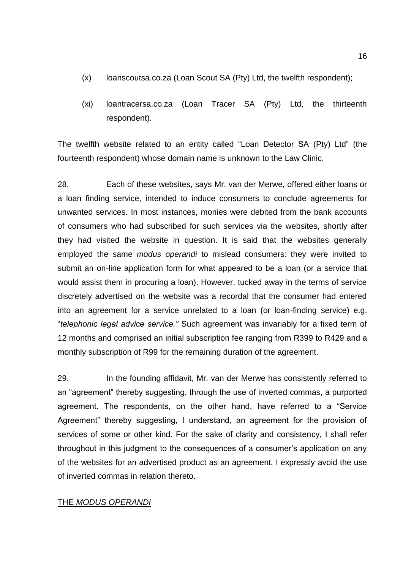- (x) loanscoutsa.co.za (Loan Scout SA (Pty) Ltd, the twelfth respondent);
- (xi) loantracersa.co.za (Loan Tracer SA (Pty) Ltd, the thirteenth respondent).

The twelfth website related to an entity called "Loan Detector SA (Pty) Ltd" (the fourteenth respondent) whose domain name is unknown to the Law Clinic.

28. Each of these websites, says Mr. van der Merwe, offered either loans or a loan finding service, intended to induce consumers to conclude agreements for unwanted services. In most instances, monies were debited from the bank accounts of consumers who had subscribed for such services via the websites, shortly after they had visited the website in question. It is said that the websites generally employed the same *modus operandi* to mislead consumers: they were invited to submit an on-line application form for what appeared to be a loan (or a service that would assist them in procuring a loan). However, tucked away in the terms of service discretely advertised on the website was a recordal that the consumer had entered into an agreement for a service unrelated to a loan (or loan-finding service) e.g. "*telephonic legal advice service."* Such agreement was invariably for a fixed term of 12 months and comprised an initial subscription fee ranging from R399 to R429 and a monthly subscription of R99 for the remaining duration of the agreement.

29. In the founding affidavit, Mr. van der Merwe has consistently referred to an "agreement" thereby suggesting, through the use of inverted commas, a purported agreement. The respondents, on the other hand, have referred to a "Service Agreement" thereby suggesting, I understand, an agreement for the provision of services of some or other kind. For the sake of clarity and consistency, I shall refer throughout in this judgment to the consequences of a consumer's application on any of the websites for an advertised product as an agreement. I expressly avoid the use of inverted commas in relation thereto.

### THE *MODUS OPERANDI*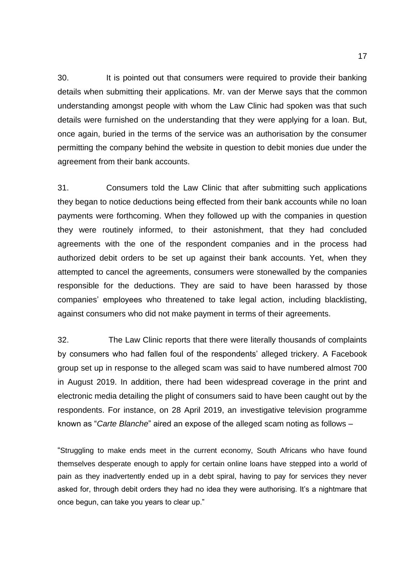30. It is pointed out that consumers were required to provide their banking details when submitting their applications. Mr. van der Merwe says that the common understanding amongst people with whom the Law Clinic had spoken was that such details were furnished on the understanding that they were applying for a loan. But, once again, buried in the terms of the service was an authorisation by the consumer permitting the company behind the website in question to debit monies due under the agreement from their bank accounts.

31. Consumers told the Law Clinic that after submitting such applications they began to notice deductions being effected from their bank accounts while no loan payments were forthcoming. When they followed up with the companies in question they were routinely informed, to their astonishment, that they had concluded agreements with the one of the respondent companies and in the process had authorized debit orders to be set up against their bank accounts. Yet, when they attempted to cancel the agreements, consumers were stonewalled by the companies responsible for the deductions. They are said to have been harassed by those companies' employees who threatened to take legal action, including blacklisting, against consumers who did not make payment in terms of their agreements.

32. The Law Clinic reports that there were literally thousands of complaints by consumers who had fallen foul of the respondents' alleged trickery. A Facebook group set up in response to the alleged scam was said to have numbered almost 700 in August 2019. In addition, there had been widespread coverage in the print and electronic media detailing the plight of consumers said to have been caught out by the respondents. For instance, on 28 April 2019, an investigative television programme known as "*Carte Blanche*" aired an expose of the alleged scam noting as follows –

"Struggling to make ends meet in the current economy, South Africans who have found themselves desperate enough to apply for certain online loans have stepped into a world of pain as they inadvertently ended up in a debt spiral, having to pay for services they never asked for, through debit orders they had no idea they were authorising. It's a nightmare that once begun, can take you years to clear up."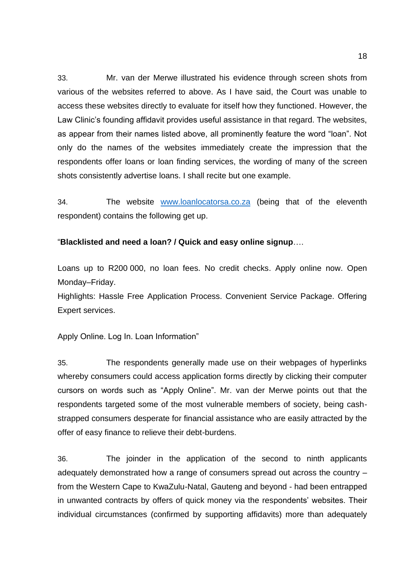33. Mr. van der Merwe illustrated his evidence through screen shots from various of the websites referred to above. As I have said, the Court was unable to access these websites directly to evaluate for itself how they functioned. However, the Law Clinic's founding affidavit provides useful assistance in that regard. The websites, as appear from their names listed above, all prominently feature the word "loan". Not only do the names of the websites immediately create the impression that the respondents offer loans or loan finding services, the wording of many of the screen shots consistently advertise loans. I shall recite but one example.

34. The website [www.loanlocatorsa.co.za](http://www.loanlocatorsa.co.za/) (being that of the eleventh respondent) contains the following get up.

### "**Blacklisted and need a loan? / Quick and easy online signup**….

Loans up to R200 000, no loan fees. No credit checks. Apply online now. Open Monday–Friday.

Highlights: Hassle Free Application Process. Convenient Service Package. Offering Expert services.

Apply Online. Log In. Loan Information"

35. The respondents generally made use on their webpages of hyperlinks whereby consumers could access application forms directly by clicking their computer cursors on words such as "Apply Online". Mr. van der Merwe points out that the respondents targeted some of the most vulnerable members of society, being cashstrapped consumers desperate for financial assistance who are easily attracted by the offer of easy finance to relieve their debt-burdens.

36. The joinder in the application of the second to ninth applicants adequately demonstrated how a range of consumers spread out across the country – from the Western Cape to KwaZulu-Natal, Gauteng and beyond - had been entrapped in unwanted contracts by offers of quick money via the respondents' websites. Their individual circumstances (confirmed by supporting affidavits) more than adequately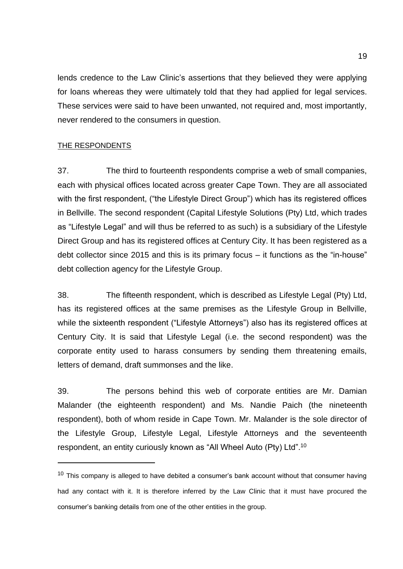lends credence to the Law Clinic's assertions that they believed they were applying for loans whereas they were ultimately told that they had applied for legal services. These services were said to have been unwanted, not required and, most importantly, never rendered to the consumers in question.

# THE RESPONDENTS

37. The third to fourteenth respondents comprise a web of small companies, each with physical offices located across greater Cape Town. They are all associated with the first respondent, ("the Lifestyle Direct Group") which has its registered offices in Bellville. The second respondent (Capital Lifestyle Solutions (Pty) Ltd, which trades as "Lifestyle Legal" and will thus be referred to as such) is a subsidiary of the Lifestyle Direct Group and has its registered offices at Century City. It has been registered as a debt collector since 2015 and this is its primary focus – it functions as the "in-house" debt collection agency for the Lifestyle Group.

38. The fifteenth respondent, which is described as Lifestyle Legal (Pty) Ltd, has its registered offices at the same premises as the Lifestyle Group in Bellville, while the sixteenth respondent ("Lifestyle Attorneys") also has its registered offices at Century City. It is said that Lifestyle Legal (i.e. the second respondent) was the corporate entity used to harass consumers by sending them threatening emails, letters of demand, draft summonses and the like.

39. The persons behind this web of corporate entities are Mr. Damian Malander (the eighteenth respondent) and Ms. Nandie Paich (the nineteenth respondent), both of whom reside in Cape Town. Mr. Malander is the sole director of the Lifestyle Group, Lifestyle Legal, Lifestyle Attorneys and the seventeenth respondent, an entity curiously known as "All Wheel Auto (Pty) Ltd".<sup>10</sup>

 $10$  This company is alleged to have debited a consumer's bank account without that consumer having had any contact with it. It is therefore inferred by the Law Clinic that it must have procured the consumer's banking details from one of the other entities in the group.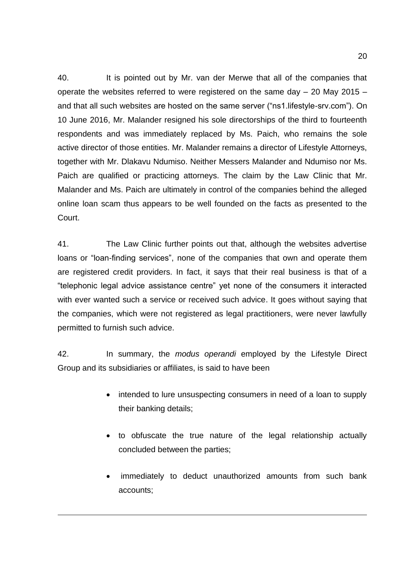40. It is pointed out by Mr. van der Merwe that all of the companies that operate the websites referred to were registered on the same day – 20 May 2015 – and that all such websites are hosted on the same server ("ns1.lifestyle-srv.com"). On 10 June 2016, Mr. Malander resigned his sole directorships of the third to fourteenth respondents and was immediately replaced by Ms. Paich, who remains the sole active director of those entities. Mr. Malander remains a director of Lifestyle Attorneys, together with Mr. Dlakavu Ndumiso. Neither Messers Malander and Ndumiso nor Ms. Paich are qualified or practicing attorneys. The claim by the Law Clinic that Mr. Malander and Ms. Paich are ultimately in control of the companies behind the alleged online loan scam thus appears to be well founded on the facts as presented to the Court.

41. The Law Clinic further points out that, although the websites advertise loans or "loan-finding services", none of the companies that own and operate them are registered credit providers. In fact, it says that their real business is that of a "telephonic legal advice assistance centre" yet none of the consumers it interacted with ever wanted such a service or received such advice. It goes without saving that the companies, which were not registered as legal practitioners, were never lawfully permitted to furnish such advice.

42. In summary, the *modus operandi* employed by the Lifestyle Direct Group and its subsidiaries or affiliates, is said to have been

- intended to lure unsuspecting consumers in need of a loan to supply their banking details;
- to obfuscate the true nature of the legal relationship actually concluded between the parties;
- immediately to deduct unauthorized amounts from such bank accounts;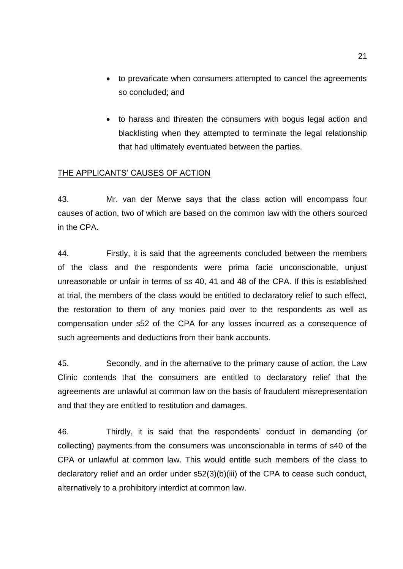- to prevaricate when consumers attempted to cancel the agreements so concluded; and
- to harass and threaten the consumers with bogus legal action and blacklisting when they attempted to terminate the legal relationship that had ultimately eventuated between the parties.

### THE APPLICANTS' CAUSES OF ACTION

43. Mr. van der Merwe says that the class action will encompass four causes of action, two of which are based on the common law with the others sourced in the CPA.

44. Firstly, it is said that the agreements concluded between the members of the class and the respondents were prima facie unconscionable, unjust unreasonable or unfair in terms of ss 40, 41 and 48 of the CPA. If this is established at trial, the members of the class would be entitled to declaratory relief to such effect, the restoration to them of any monies paid over to the respondents as well as compensation under s52 of the CPA for any losses incurred as a consequence of such agreements and deductions from their bank accounts.

45. Secondly, and in the alternative to the primary cause of action, the Law Clinic contends that the consumers are entitled to declaratory relief that the agreements are unlawful at common law on the basis of fraudulent misrepresentation and that they are entitled to restitution and damages.

46. Thirdly, it is said that the respondents' conduct in demanding (or collecting) payments from the consumers was unconscionable in terms of s40 of the CPA or unlawful at common law. This would entitle such members of the class to declaratory relief and an order under s52(3)(b)(iii) of the CPA to cease such conduct, alternatively to a prohibitory interdict at common law.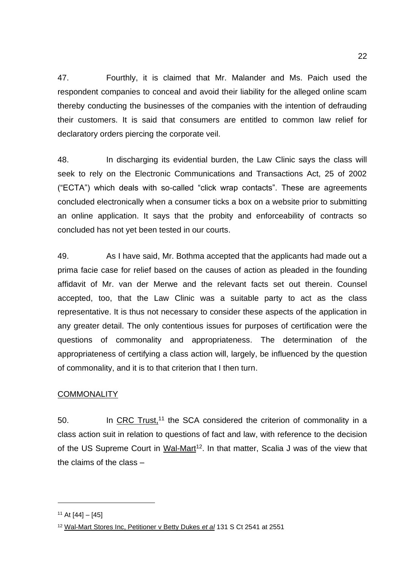47. Fourthly, it is claimed that Mr. Malander and Ms. Paich used the respondent companies to conceal and avoid their liability for the alleged online scam thereby conducting the businesses of the companies with the intention of defrauding their customers. It is said that consumers are entitled to common law relief for declaratory orders piercing the corporate veil.

48. In discharging its evidential burden, the Law Clinic says the class will seek to rely on the Electronic Communications and Transactions Act, 25 of 2002 ("ECTA") which deals with so-called "click wrap contacts". These are agreements concluded electronically when a consumer ticks a box on a website prior to submitting an online application. It says that the probity and enforceability of contracts so concluded has not yet been tested in our courts.

49. As I have said, Mr. Bothma accepted that the applicants had made out a prima facie case for relief based on the causes of action as pleaded in the founding affidavit of Mr. van der Merwe and the relevant facts set out therein. Counsel accepted, too, that the Law Clinic was a suitable party to act as the class representative. It is thus not necessary to consider these aspects of the application in any greater detail. The only contentious issues for purposes of certification were the questions of commonality and appropriateness. The determination of the appropriateness of certifying a class action will, largely, be influenced by the question of commonality, and it is to that criterion that I then turn.

# **COMMONALITY**

50. In CRC Trust,<sup>11</sup> the SCA considered the criterion of commonality in a class action suit in relation to questions of fact and law, with reference to the decision of the US Supreme Court in Wal-Mart<sup>12</sup>. In that matter, Scalia J was of the view that the claims of the class –

 $11$  At [44] – [45]

<sup>12</sup> Wal-Mart Stores Inc, Petitioner v Betty Dukes *et al* 131 S Ct 2541 at 2551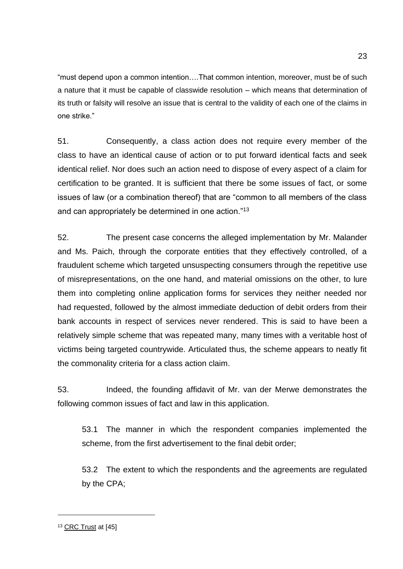"must depend upon a common intention….That common intention, moreover, must be of such a nature that it must be capable of classwide resolution – which means that determination of its truth or falsity will resolve an issue that is central to the validity of each one of the claims in one strike."

51. Consequently, a class action does not require every member of the class to have an identical cause of action or to put forward identical facts and seek identical relief. Nor does such an action need to dispose of every aspect of a claim for certification to be granted. It is sufficient that there be some issues of fact, or some issues of law (or a combination thereof) that are "common to all members of the class and can appropriately be determined in one action."<sup>13</sup>

52. The present case concerns the alleged implementation by Mr. Malander and Ms. Paich, through the corporate entities that they effectively controlled, of a fraudulent scheme which targeted unsuspecting consumers through the repetitive use of misrepresentations, on the one hand, and material omissions on the other, to lure them into completing online application forms for services they neither needed nor had requested, followed by the almost immediate deduction of debit orders from their bank accounts in respect of services never rendered. This is said to have been a relatively simple scheme that was repeated many, many times with a veritable host of victims being targeted countrywide. Articulated thus, the scheme appears to neatly fit the commonality criteria for a class action claim.

53. Indeed, the founding affidavit of Mr. van der Merwe demonstrates the following common issues of fact and law in this application.

53.1 The manner in which the respondent companies implemented the scheme, from the first advertisement to the final debit order;

53.2 The extent to which the respondents and the agreements are regulated by the CPA;

<sup>13</sup> CRC Trust at [45]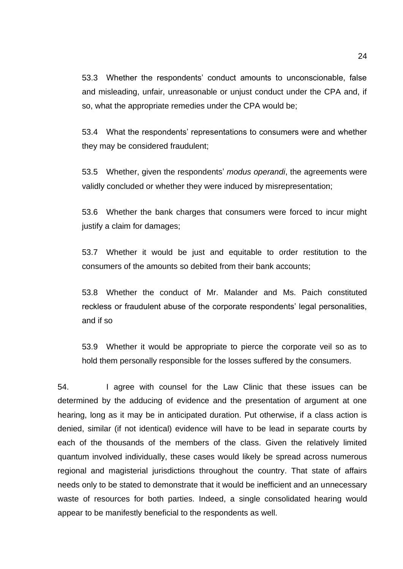53.3 Whether the respondents' conduct amounts to unconscionable, false and misleading, unfair, unreasonable or unjust conduct under the CPA and, if so, what the appropriate remedies under the CPA would be;

53.4 What the respondents' representations to consumers were and whether they may be considered fraudulent;

53.5 Whether, given the respondents' *modus operandi*, the agreements were validly concluded or whether they were induced by misrepresentation;

53.6 Whether the bank charges that consumers were forced to incur might justify a claim for damages;

53.7 Whether it would be just and equitable to order restitution to the consumers of the amounts so debited from their bank accounts;

53.8 Whether the conduct of Mr. Malander and Ms. Paich constituted reckless or fraudulent abuse of the corporate respondents' legal personalities, and if so

53.9 Whether it would be appropriate to pierce the corporate veil so as to hold them personally responsible for the losses suffered by the consumers.

54. I agree with counsel for the Law Clinic that these issues can be determined by the adducing of evidence and the presentation of argument at one hearing, long as it may be in anticipated duration. Put otherwise, if a class action is denied, similar (if not identical) evidence will have to be lead in separate courts by each of the thousands of the members of the class. Given the relatively limited quantum involved individually, these cases would likely be spread across numerous regional and magisterial jurisdictions throughout the country. That state of affairs needs only to be stated to demonstrate that it would be inefficient and an unnecessary waste of resources for both parties. Indeed, a single consolidated hearing would appear to be manifestly beneficial to the respondents as well.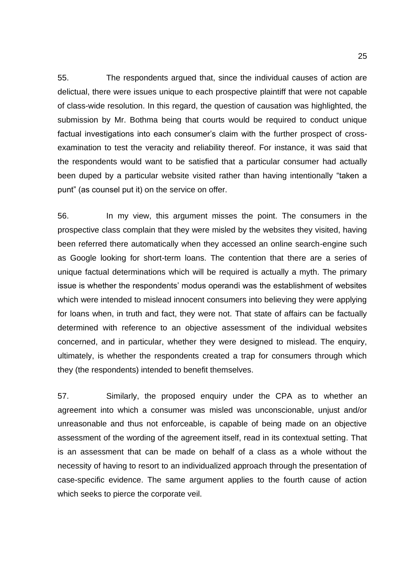55. The respondents argued that, since the individual causes of action are delictual, there were issues unique to each prospective plaintiff that were not capable of class-wide resolution. In this regard, the question of causation was highlighted, the submission by Mr. Bothma being that courts would be required to conduct unique factual investigations into each consumer's claim with the further prospect of crossexamination to test the veracity and reliability thereof. For instance, it was said that the respondents would want to be satisfied that a particular consumer had actually been duped by a particular website visited rather than having intentionally "taken a punt" (as counsel put it) on the service on offer.

56. In my view, this argument misses the point. The consumers in the prospective class complain that they were misled by the websites they visited, having been referred there automatically when they accessed an online search-engine such as Google looking for short-term loans. The contention that there are a series of unique factual determinations which will be required is actually a myth. The primary issue is whether the respondents' modus operandi was the establishment of websites which were intended to mislead innocent consumers into believing they were applying for loans when, in truth and fact, they were not. That state of affairs can be factually determined with reference to an objective assessment of the individual websites concerned, and in particular, whether they were designed to mislead. The enquiry, ultimately, is whether the respondents created a trap for consumers through which they (the respondents) intended to benefit themselves.

57. Similarly, the proposed enquiry under the CPA as to whether an agreement into which a consumer was misled was unconscionable, unjust and/or unreasonable and thus not enforceable, is capable of being made on an objective assessment of the wording of the agreement itself, read in its contextual setting. That is an assessment that can be made on behalf of a class as a whole without the necessity of having to resort to an individualized approach through the presentation of case-specific evidence. The same argument applies to the fourth cause of action which seeks to pierce the corporate veil.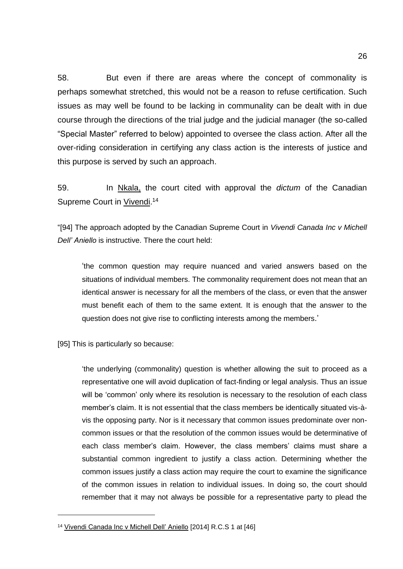58. But even if there are areas where the concept of commonality is perhaps somewhat stretched, this would not be a reason to refuse certification. Such issues as may well be found to be lacking in communality can be dealt with in due course through the directions of the trial judge and the judicial manager (the so-called "Special Master" referred to below) appointed to oversee the class action. After all the over-riding consideration in certifying any class action is the interests of justice and this purpose is served by such an approach.

59. In Nkala, the court cited with approval the *dictum* of the Canadian Supreme Court in Vivendi.<sup>14</sup>

"[94] The approach adopted by the Canadian Supreme Court in *Vivendi Canada Inc v Michell Dell' Aniello* is instructive. There the court held:

'the common question may require nuanced and varied answers based on the situations of individual members. The commonality requirement does not mean that an identical answer is necessary for all the members of the class, or even that the answer must benefit each of them to the same extent. It is enough that the answer to the question does not give rise to conflicting interests among the members.'

[95] This is particularly so because:

'the underlying (commonality) question is whether allowing the suit to proceed as a representative one will avoid duplication of fact-finding or legal analysis. Thus an issue will be 'common' only where its resolution is necessary to the resolution of each class member's claim. It is not essential that the class members be identically situated vis-àvis the opposing party. Nor is it necessary that common issues predominate over noncommon issues or that the resolution of the common issues would be determinative of each class member's claim. However, the class members' claims must share a substantial common ingredient to justify a class action. Determining whether the common issues justify a class action may require the court to examine the significance of the common issues in relation to individual issues. In doing so, the court should remember that it may not always be possible for a representative party to plead the

<sup>&</sup>lt;sup>14</sup> Vivendi Canada Inc v Michell Dell' Aniello [2014] R.C.S 1 at [46]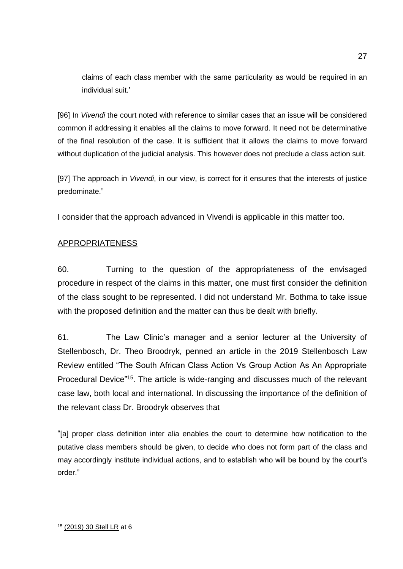claims of each class member with the same particularity as would be required in an individual suit.'

[96] In *Vivendi* the court noted with reference to similar cases that an issue will be considered common if addressing it enables all the claims to move forward. It need not be determinative of the final resolution of the case. It is sufficient that it allows the claims to move forward without duplication of the judicial analysis. This however does not preclude a class action suit.

[97] The approach in *Vivendi*, in our view, is correct for it ensures that the interests of justice predominate."

I consider that the approach advanced in Vivendi is applicable in this matter too.

# APPROPRIATENESS

60. Turning to the question of the appropriateness of the envisaged procedure in respect of the claims in this matter, one must first consider the definition of the class sought to be represented. I did not understand Mr. Bothma to take issue with the proposed definition and the matter can thus be dealt with briefly.

61. The Law Clinic's manager and a senior lecturer at the University of Stellenbosch, Dr. Theo Broodryk, penned an article in the 2019 Stellenbosch Law Review entitled "The South African Class Action Vs Group Action As An Appropriate Procedural Device<sup>"15</sup>. The article is wide-ranging and discusses much of the relevant case law, both local and international. In discussing the importance of the definition of the relevant class Dr. Broodryk observes that

"[a] proper class definition inter alia enables the court to determine how notification to the putative class members should be given, to decide who does not form part of the class and may accordingly institute individual actions, and to establish who will be bound by the court's order."

<sup>15</sup> (2019) 30 Stell LR at 6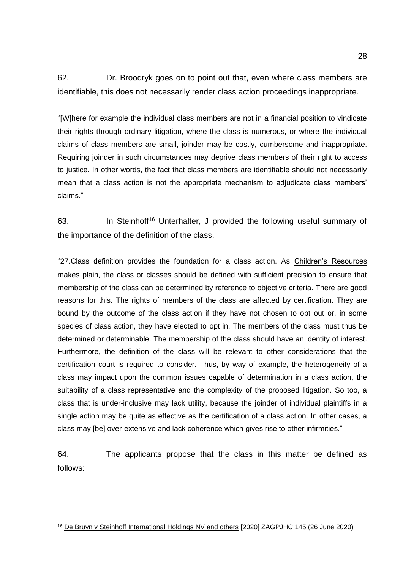62. Dr. Broodryk goes on to point out that, even where class members are identifiable, this does not necessarily render class action proceedings inappropriate.

"[W]here for example the individual class members are not in a financial position to vindicate their rights through ordinary litigation, where the class is numerous, or where the individual claims of class members are small, joinder may be costly, cumbersome and inappropriate. Requiring joinder in such circumstances may deprive class members of their right to access to justice. In other words, the fact that class members are identifiable should not necessarily mean that a class action is not the appropriate mechanism to adjudicate class members' claims."

63. In Steinhoff<sup>16</sup> Unterhalter, J provided the following useful summary of the importance of the definition of the class.

"27.Class definition provides the foundation for a class action. As Children's Resources makes plain, the class or classes should be defined with sufficient precision to ensure that membership of the class can be determined by reference to objective criteria. There are good reasons for this. The rights of members of the class are affected by certification. They are bound by the outcome of the class action if they have not chosen to opt out or, in some species of class action, they have elected to opt in. The members of the class must thus be determined or determinable. The membership of the class should have an identity of interest. Furthermore, the definition of the class will be relevant to other considerations that the certification court is required to consider. Thus, by way of example, the heterogeneity of a class may impact upon the common issues capable of determination in a class action, the suitability of a class representative and the complexity of the proposed litigation. So too, a class that is under-inclusive may lack utility, because the joinder of individual plaintiffs in a single action may be quite as effective as the certification of a class action. In other cases, a class may [be] over-extensive and lack coherence which gives rise to other infirmities."

64. The applicants propose that the class in this matter be defined as follows:

<sup>&</sup>lt;sup>16</sup> De Bruyn v Steinhoff International Holdings NV and others [2020] ZAGPJHC 145 (26 June 2020)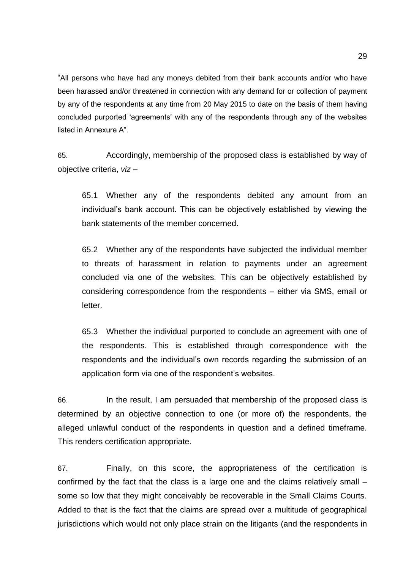"All persons who have had any moneys debited from their bank accounts and/or who have been harassed and/or threatened in connection with any demand for or collection of payment by any of the respondents at any time from 20 May 2015 to date on the basis of them having concluded purported 'agreements' with any of the respondents through any of the websites listed in Annexure A".

65. Accordingly, membership of the proposed class is established by way of objective criteria, *viz* –

65.1 Whether any of the respondents debited any amount from an individual's bank account. This can be objectively established by viewing the bank statements of the member concerned.

65.2 Whether any of the respondents have subjected the individual member to threats of harassment in relation to payments under an agreement concluded via one of the websites. This can be objectively established by considering correspondence from the respondents – either via SMS, email or letter.

65.3 Whether the individual purported to conclude an agreement with one of the respondents. This is established through correspondence with the respondents and the individual's own records regarding the submission of an application form via one of the respondent's websites.

66. In the result, I am persuaded that membership of the proposed class is determined by an objective connection to one (or more of) the respondents, the alleged unlawful conduct of the respondents in question and a defined timeframe. This renders certification appropriate.

67. Finally, on this score, the appropriateness of the certification is confirmed by the fact that the class is a large one and the claims relatively small – some so low that they might conceivably be recoverable in the Small Claims Courts. Added to that is the fact that the claims are spread over a multitude of geographical jurisdictions which would not only place strain on the litigants (and the respondents in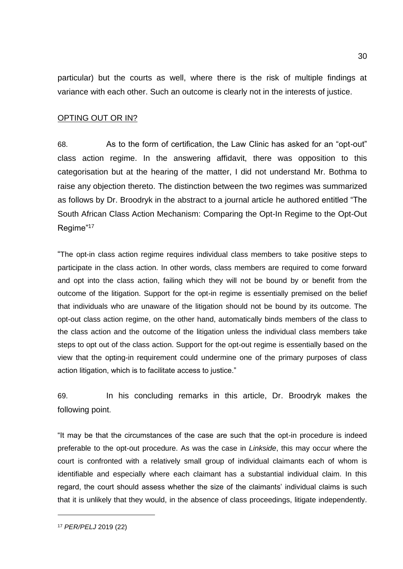particular) but the courts as well, where there is the risk of multiple findings at variance with each other. Such an outcome is clearly not in the interests of justice.

### OPTING OUT OR IN?

68. As to the form of certification, the Law Clinic has asked for an "opt-out" class action regime. In the answering affidavit, there was opposition to this categorisation but at the hearing of the matter, I did not understand Mr. Bothma to raise any objection thereto. The distinction between the two regimes was summarized as follows by Dr. Broodryk in the abstract to a journal article he authored entitled "The South African Class Action Mechanism: Comparing the Opt-In Regime to the Opt-Out Regime"<sup>17</sup>

"The opt-in class action regime requires individual class members to take positive steps to participate in the class action. In other words, class members are required to come forward and opt into the class action, failing which they will not be bound by or benefit from the outcome of the litigation. Support for the opt-in regime is essentially premised on the belief that individuals who are unaware of the litigation should not be bound by its outcome. The opt-out class action regime, on the other hand, automatically binds members of the class to the class action and the outcome of the litigation unless the individual class members take steps to opt out of the class action. Support for the opt-out regime is essentially based on the view that the opting-in requirement could undermine one of the primary purposes of class action litigation, which is to facilitate access to justice."

69. In his concluding remarks in this article, Dr. Broodryk makes the following point.

"It may be that the circumstances of the case are such that the opt-in procedure is indeed preferable to the opt-out procedure. As was the case in *Linkside*, this may occur where the court is confronted with a relatively small group of individual claimants each of whom is identifiable and especially where each claimant has a substantial individual claim. In this regard, the court should assess whether the size of the claimants' individual claims is such that it is unlikely that they would, in the absence of class proceedings, litigate independently.

<sup>17</sup> *PER/PELJ* 2019 (22)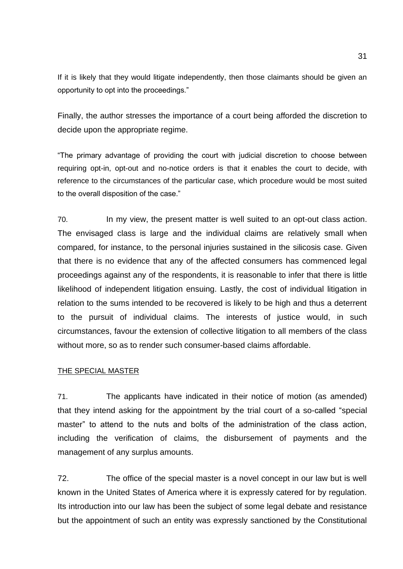If it is likely that they would litigate independently, then those claimants should be given an opportunity to opt into the proceedings."

Finally, the author stresses the importance of a court being afforded the discretion to decide upon the appropriate regime.

"The primary advantage of providing the court with judicial discretion to choose between requiring opt-in, opt-out and no-notice orders is that it enables the court to decide, with reference to the circumstances of the particular case, which procedure would be most suited to the overall disposition of the case."

70. In my view, the present matter is well suited to an opt-out class action. The envisaged class is large and the individual claims are relatively small when compared, for instance, to the personal injuries sustained in the silicosis case. Given that there is no evidence that any of the affected consumers has commenced legal proceedings against any of the respondents, it is reasonable to infer that there is little likelihood of independent litigation ensuing. Lastly, the cost of individual litigation in relation to the sums intended to be recovered is likely to be high and thus a deterrent to the pursuit of individual claims. The interests of justice would, in such circumstances, favour the extension of collective litigation to all members of the class without more, so as to render such consumer-based claims affordable.

### THE SPECIAL MASTER

71. The applicants have indicated in their notice of motion (as amended) that they intend asking for the appointment by the trial court of a so-called "special master" to attend to the nuts and bolts of the administration of the class action, including the verification of claims, the disbursement of payments and the management of any surplus amounts.

72. The office of the special master is a novel concept in our law but is well known in the United States of America where it is expressly catered for by regulation. Its introduction into our law has been the subject of some legal debate and resistance but the appointment of such an entity was expressly sanctioned by the Constitutional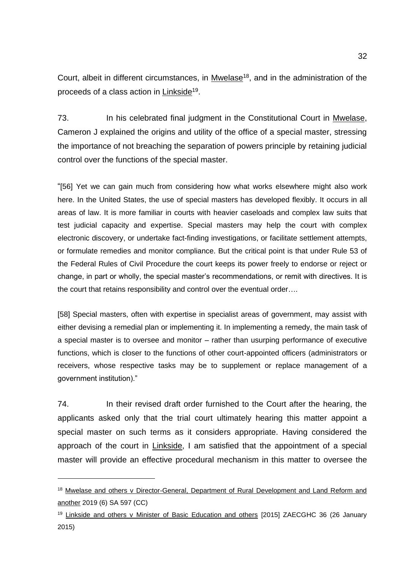Court, albeit in different circumstances, in Mwelase<sup>18</sup>, and in the administration of the proceeds of a class action in Linkside<sup>19</sup>.

73. In his celebrated final judgment in the Constitutional Court in Mwelase, Cameron J explained the origins and utility of the office of a special master, stressing the importance of not breaching the separation of powers principle by retaining judicial control over the functions of the special master.

"[56] Yet we can gain much from considering how what works elsewhere might also work here. In the United States, the use of special masters has developed flexibly. It occurs in all areas of law. It is more familiar in courts with heavier caseloads and complex law suits that test judicial capacity and expertise. Special masters may help the court with complex electronic discovery, or undertake fact-finding investigations, or facilitate settlement attempts, or formulate remedies and monitor compliance. But the critical point is that under Rule 53 of the Federal Rules of Civil Procedure the court keeps its power freely to endorse or reject or change, in part or wholly, the special master's recommendations, or remit with directives. It is the court that retains responsibility and control over the eventual order….

[58] Special masters, often with expertise in specialist areas of government, may assist with either devising a remedial plan or implementing it. In implementing a remedy, the main task of a special master is to oversee and monitor – rather than usurping performance of executive functions, which is closer to the functions of other court-appointed officers (administrators or receivers, whose respective tasks may be to supplement or replace management of a government institution)."

74. In their revised draft order furnished to the Court after the hearing, the applicants asked only that the trial court ultimately hearing this matter appoint a special master on such terms as it considers appropriate. Having considered the approach of the court in Linkside, I am satisfied that the appointment of a special master will provide an effective procedural mechanism in this matter to oversee the

<sup>&</sup>lt;sup>18</sup> Mwelase and others v Director-General, Department of Rural Development and Land Reform and another 2019 (6) SA 597 (CC)

<sup>&</sup>lt;sup>19</sup> Linkside and others v Minister of Basic Education and others [2015] ZAECGHC 36 (26 January 2015)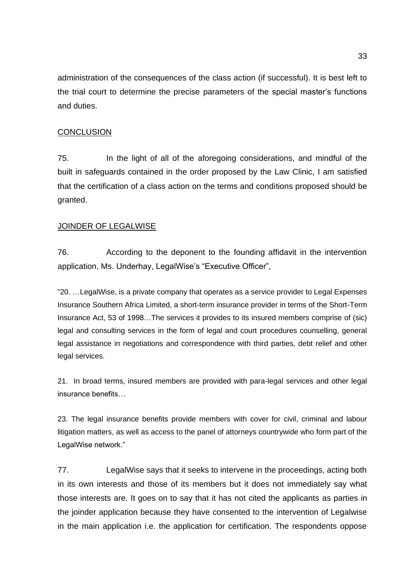administration of the consequences of the class action (if successful). It is best left to the trial court to determine the precise parameters of the special master's functions and duties.

### **CONCLUSION**

75. In the light of all of the aforegoing considerations, and mindful of the built in safeguards contained in the order proposed by the Law Clinic, I am satisfied that the certification of a class action on the terms and conditions proposed should be granted.

### JOINDER OF LEGALWISE

76. According to the deponent to the founding affidavit in the intervention application, Ms. Underhay, LegalWise's "Executive Officer",

"20. …LegalWise, is a private company that operates as a service provider to Legal Expenses Insurance Southern Africa Limited, a short-term insurance provider in terms of the Short-Term Insurance Act, 53 of 1998…The services it provides to its insured members comprise of (sic) legal and consulting services in the form of legal and court procedures counselling, general legal assistance in negotiations and correspondence with third parties, debt relief and other legal services.

21. In broad terms, insured members are provided with para-legal services and other legal insurance benefits…

23. The legal insurance benefits provide members with cover for civil, criminal and labour litigation matters, as well as access to the panel of attorneys countrywide who form part of the LegalWise network."

77. LegalWise says that it seeks to intervene in the proceedings, acting both in its own interests and those of its members but it does not immediately say what those interests are. It goes on to say that it has not cited the applicants as parties in the joinder application because they have consented to the intervention of Legalwise in the main application i.e. the application for certification. The respondents oppose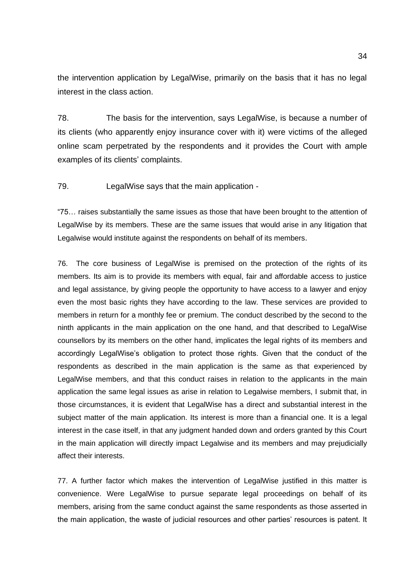the intervention application by LegalWise, primarily on the basis that it has no legal interest in the class action.

78. The basis for the intervention, says LegalWise, is because a number of its clients (who apparently enjoy insurance cover with it) were victims of the alleged online scam perpetrated by the respondents and it provides the Court with ample examples of its clients' complaints.

79. LegalWise says that the main application -

"75… raises substantially the same issues as those that have been brought to the attention of LegalWise by its members. These are the same issues that would arise in any litigation that Legalwise would institute against the respondents on behalf of its members.

76. The core business of LegalWise is premised on the protection of the rights of its members. Its aim is to provide its members with equal, fair and affordable access to justice and legal assistance, by giving people the opportunity to have access to a lawyer and enjoy even the most basic rights they have according to the law. These services are provided to members in return for a monthly fee or premium. The conduct described by the second to the ninth applicants in the main application on the one hand, and that described to LegalWise counsellors by its members on the other hand, implicates the legal rights of its members and accordingly LegalWise's obligation to protect those rights. Given that the conduct of the respondents as described in the main application is the same as that experienced by LegalWise members, and that this conduct raises in relation to the applicants in the main application the same legal issues as arise in relation to Legalwise members, I submit that, in those circumstances, it is evident that LegalWise has a direct and substantial interest in the subject matter of the main application. Its interest is more than a financial one. It is a legal interest in the case itself, in that any judgment handed down and orders granted by this Court in the main application will directly impact Legalwise and its members and may prejudicially affect their interests.

77. A further factor which makes the intervention of LegalWise justified in this matter is convenience. Were LegalWise to pursue separate legal proceedings on behalf of its members, arising from the same conduct against the same respondents as those asserted in the main application, the waste of judicial resources and other parties' resources is patent. It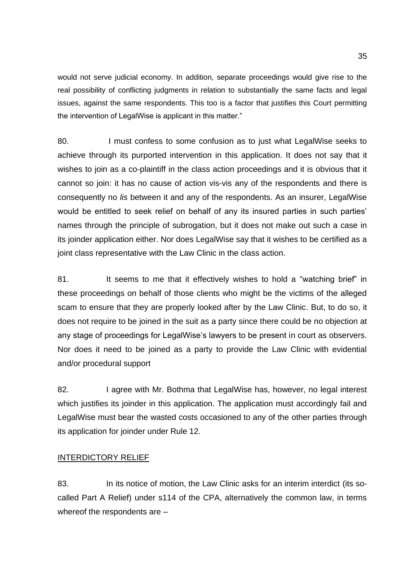would not serve judicial economy. In addition, separate proceedings would give rise to the real possibility of conflicting judgments in relation to substantially the same facts and legal issues, against the same respondents. This too is a factor that justifies this Court permitting the intervention of LegalWise is applicant in this matter."

80. I must confess to some confusion as to just what LegalWise seeks to achieve through its purported intervention in this application. It does not say that it wishes to join as a co-plaintiff in the class action proceedings and it is obvious that it cannot so join: it has no cause of action vis-vis any of the respondents and there is consequently no *lis* between it and any of the respondents. As an insurer, LegalWise would be entitled to seek relief on behalf of any its insured parties in such parties' names through the principle of subrogation, but it does not make out such a case in its joinder application either. Nor does LegalWise say that it wishes to be certified as a joint class representative with the Law Clinic in the class action.

81. It seems to me that it effectively wishes to hold a "watching brief" in these proceedings on behalf of those clients who might be the victims of the alleged scam to ensure that they are properly looked after by the Law Clinic. But, to do so, it does not require to be joined in the suit as a party since there could be no objection at any stage of proceedings for LegalWise's lawyers to be present in court as observers. Nor does it need to be joined as a party to provide the Law Clinic with evidential and/or procedural support

82. I agree with Mr. Bothma that LegalWise has, however, no legal interest which justifies its joinder in this application. The application must accordingly fail and LegalWise must bear the wasted costs occasioned to any of the other parties through its application for joinder under Rule 12.

# INTERDICTORY RELIEF

83. In its notice of motion, the Law Clinic asks for an interim interdict (its socalled Part A Relief) under s114 of the CPA, alternatively the common law, in terms whereof the respondents are –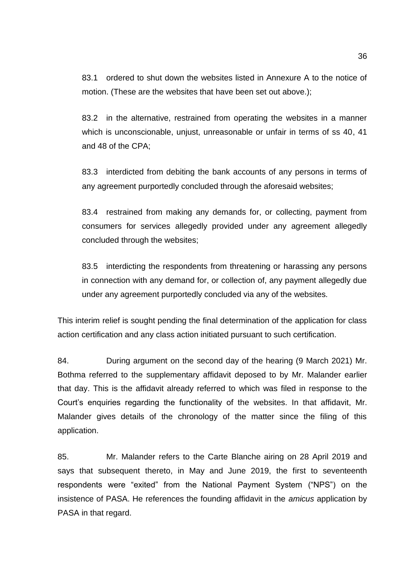83.1 ordered to shut down the websites listed in Annexure A to the notice of motion. (These are the websites that have been set out above.);

83.2 in the alternative, restrained from operating the websites in a manner which is unconscionable, unjust, unreasonable or unfair in terms of ss 40, 41 and 48 of the CPA;

83.3 interdicted from debiting the bank accounts of any persons in terms of any agreement purportedly concluded through the aforesaid websites;

83.4 restrained from making any demands for, or collecting, payment from consumers for services allegedly provided under any agreement allegedly concluded through the websites;

83.5 interdicting the respondents from threatening or harassing any persons in connection with any demand for, or collection of, any payment allegedly due under any agreement purportedly concluded via any of the websites.

This interim relief is sought pending the final determination of the application for class action certification and any class action initiated pursuant to such certification.

84. During argument on the second day of the hearing (9 March 2021) Mr. Bothma referred to the supplementary affidavit deposed to by Mr. Malander earlier that day. This is the affidavit already referred to which was filed in response to the Court's enquiries regarding the functionality of the websites. In that affidavit, Mr. Malander gives details of the chronology of the matter since the filing of this application.

85. Mr. Malander refers to the Carte Blanche airing on 28 April 2019 and says that subsequent thereto, in May and June 2019, the first to seventeenth respondents were "exited" from the National Payment System ("NPS") on the insistence of PASA. He references the founding affidavit in the *amicus* application by PASA in that regard.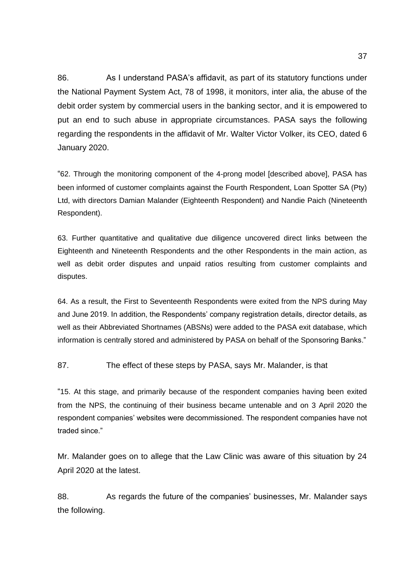86. As I understand PASA's affidavit, as part of its statutory functions under the National Payment System Act, 78 of 1998, it monitors, inter alia, the abuse of the debit order system by commercial users in the banking sector, and it is empowered to put an end to such abuse in appropriate circumstances. PASA says the following regarding the respondents in the affidavit of Mr. Walter Victor Volker, its CEO, dated 6 January 2020.

"62. Through the monitoring component of the 4-prong model [described above], PASA has been informed of customer complaints against the Fourth Respondent, Loan Spotter SA (Pty) Ltd, with directors Damian Malander (Eighteenth Respondent) and Nandie Paich (Nineteenth Respondent).

63. Further quantitative and qualitative due diligence uncovered direct links between the Eighteenth and Nineteenth Respondents and the other Respondents in the main action, as well as debit order disputes and unpaid ratios resulting from customer complaints and disputes.

64. As a result, the First to Seventeenth Respondents were exited from the NPS during May and June 2019. In addition, the Respondents' company registration details, director details, as well as their Abbreviated Shortnames (ABSNs) were added to the PASA exit database, which information is centrally stored and administered by PASA on behalf of the Sponsoring Banks."

87. The effect of these steps by PASA, says Mr. Malander, is that

"15. At this stage, and primarily because of the respondent companies having been exited from the NPS, the continuing of their business became untenable and on 3 April 2020 the respondent companies' websites were decommissioned. The respondent companies have not traded since."

Mr. Malander goes on to allege that the Law Clinic was aware of this situation by 24 April 2020 at the latest.

88. As regards the future of the companies' businesses, Mr. Malander says the following.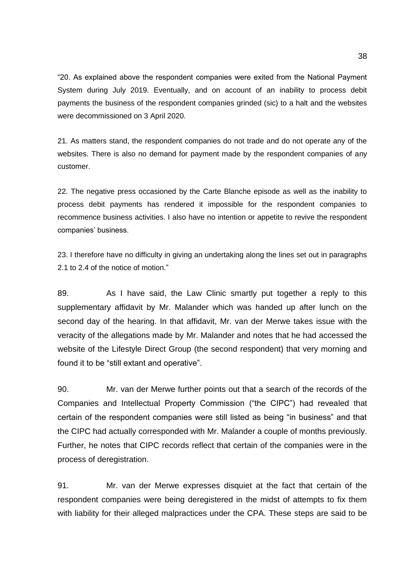"20. As explained above the respondent companies were exited from the National Payment System during July 2019. Eventually, and on account of an inability to process debit payments the business of the respondent companies grinded (sic) to a halt and the websites were decommissioned on 3 April 2020.

21. As matters stand, the respondent companies do not trade and do not operate any of the websites. There is also no demand for payment made by the respondent companies of any customer.

22. The negative press occasioned by the Carte Blanche episode as well as the inability to process debit payments has rendered it impossible for the respondent companies to recommence business activities. I also have no intention or appetite to revive the respondent companies' business.

23. I therefore have no difficulty in giving an undertaking along the lines set out in paragraphs 2.1 to 2.4 of the notice of motion."

89. As I have said, the Law Clinic smartly put together a reply to this supplementary affidavit by Mr. Malander which was handed up after lunch on the second day of the hearing. In that affidavit, Mr. van der Merwe takes issue with the veracity of the allegations made by Mr. Malander and notes that he had accessed the website of the Lifestyle Direct Group (the second respondent) that very morning and found it to be "still extant and operative".

90. Mr. van der Merwe further points out that a search of the records of the Companies and Intellectual Property Commission ("the CIPC") had revealed that certain of the respondent companies were still listed as being "in business" and that the CIPC had actually corresponded with Mr. Malander a couple of months previously. Further, he notes that CIPC records reflect that certain of the companies were in the process of deregistration.

91. Mr. van der Merwe expresses disquiet at the fact that certain of the respondent companies were being deregistered in the midst of attempts to fix them with liability for their alleged malpractices under the CPA. These steps are said to be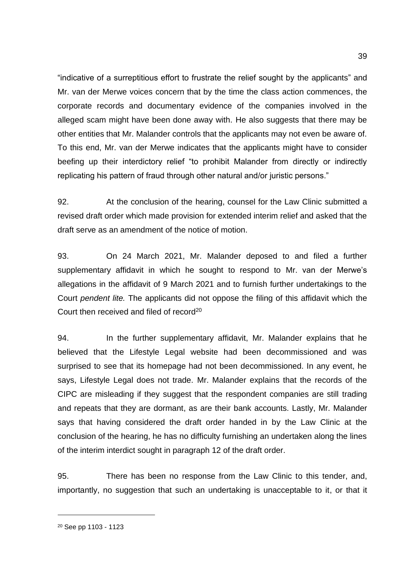"indicative of a surreptitious effort to frustrate the relief sought by the applicants" and Mr. van der Merwe voices concern that by the time the class action commences, the corporate records and documentary evidence of the companies involved in the alleged scam might have been done away with. He also suggests that there may be other entities that Mr. Malander controls that the applicants may not even be aware of. To this end, Mr. van der Merwe indicates that the applicants might have to consider beefing up their interdictory relief "to prohibit Malander from directly or indirectly replicating his pattern of fraud through other natural and/or juristic persons."

92. At the conclusion of the hearing, counsel for the Law Clinic submitted a revised draft order which made provision for extended interim relief and asked that the draft serve as an amendment of the notice of motion.

93. On 24 March 2021, Mr. Malander deposed to and filed a further supplementary affidavit in which he sought to respond to Mr. van der Merwe's allegations in the affidavit of 9 March 2021 and to furnish further undertakings to the Court *pendent lite.* The applicants did not oppose the filing of this affidavit which the Court then received and filed of record<sup>20</sup>

94. In the further supplementary affidavit, Mr. Malander explains that he believed that the Lifestyle Legal website had been decommissioned and was surprised to see that its homepage had not been decommissioned. In any event, he says, Lifestyle Legal does not trade. Mr. Malander explains that the records of the CIPC are misleading if they suggest that the respondent companies are still trading and repeats that they are dormant, as are their bank accounts. Lastly, Mr. Malander says that having considered the draft order handed in by the Law Clinic at the conclusion of the hearing, he has no difficulty furnishing an undertaken along the lines of the interim interdict sought in paragraph 12 of the draft order.

95. There has been no response from the Law Clinic to this tender, and, importantly, no suggestion that such an undertaking is unacceptable to it, or that it

<sup>39</sup>

<sup>20</sup> See pp 1103 - 1123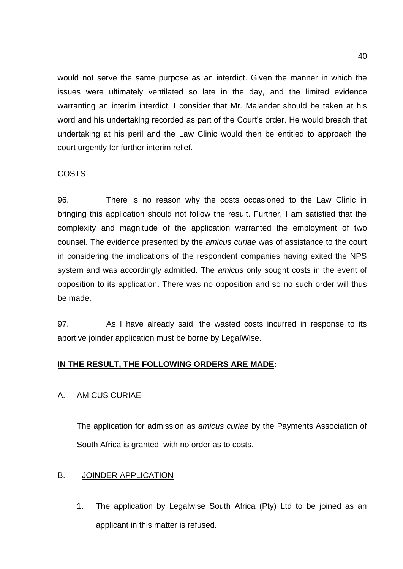would not serve the same purpose as an interdict. Given the manner in which the issues were ultimately ventilated so late in the day, and the limited evidence warranting an interim interdict, I consider that Mr. Malander should be taken at his word and his undertaking recorded as part of the Court's order. He would breach that undertaking at his peril and the Law Clinic would then be entitled to approach the court urgently for further interim relief.

# COSTS

96. There is no reason why the costs occasioned to the Law Clinic in bringing this application should not follow the result. Further, I am satisfied that the complexity and magnitude of the application warranted the employment of two counsel. The evidence presented by the *amicus curiae* was of assistance to the court in considering the implications of the respondent companies having exited the NPS system and was accordingly admitted. The *amicus* only sought costs in the event of opposition to its application. There was no opposition and so no such order will thus be made.

97. As I have already said, the wasted costs incurred in response to its abortive joinder application must be borne by LegalWise.

# **IN THE RESULT, THE FOLLOWING ORDERS ARE MADE:**

# A. AMICUS CURIAE

The application for admission as *amicus curiae* by the Payments Association of South Africa is granted, with no order as to costs.

# B. JOINDER APPLICATION

1. The application by Legalwise South Africa (Pty) Ltd to be joined as an applicant in this matter is refused.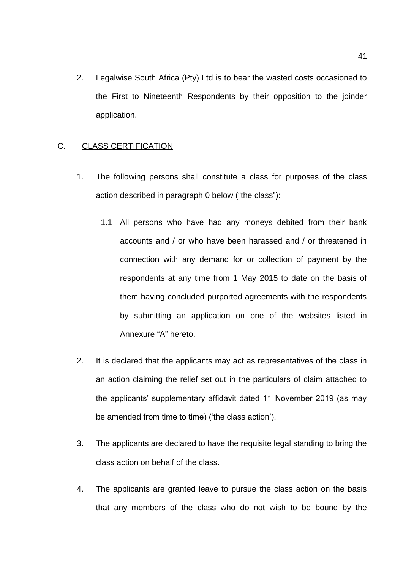2. Legalwise South Africa (Pty) Ltd is to bear the wasted costs occasioned to the First to Nineteenth Respondents by their opposition to the joinder application.

### C. CLASS CERTIFICATION

- 1. The following persons shall constitute a class for purposes of the class action described in paragraph [0](#page-40-0) below ("the class"):
	- 1.1 All persons who have had any moneys debited from their bank accounts and / or who have been harassed and / or threatened in connection with any demand for or collection of payment by the respondents at any time from 1 May 2015 to date on the basis of them having concluded purported agreements with the respondents by submitting an application on one of the websites listed in Annexure "A" hereto.
- <span id="page-40-0"></span>2. It is declared that the applicants may act as representatives of the class in an action claiming the relief set out in the particulars of claim attached to the applicants' supplementary affidavit dated 11 November 2019 (as may be amended from time to time) ('the class action').
- 3. The applicants are declared to have the requisite legal standing to bring the class action on behalf of the class.
- 4. The applicants are granted leave to pursue the class action on the basis that any members of the class who do not wish to be bound by the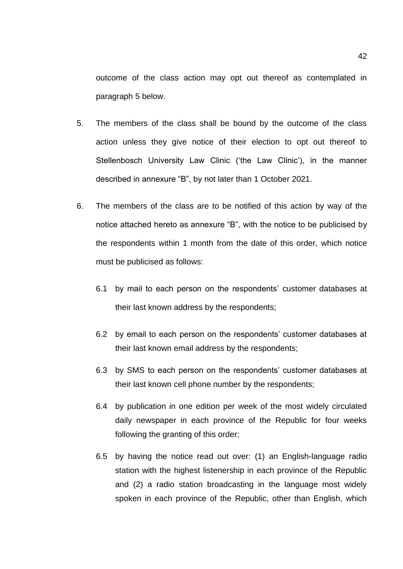outcome of the class action may opt out thereof as contemplated in paragraph [5](#page-41-0) below.

- <span id="page-41-0"></span>5. The members of the class shall be bound by the outcome of the class action unless they give notice of their election to opt out thereof to Stellenbosch University Law Clinic ('the Law Clinic'), in the manner described in annexure "B", by not later than 1 October 2021.
- <span id="page-41-1"></span>6. The members of the class are to be notified of this action by way of the notice attached hereto as annexure "B", with the notice to be publicised by the respondents within 1 month from the date of this order, which notice must be publicised as follows:
	- 6.1 by mail to each person on the respondents' customer databases at their last known address by the respondents;
	- 6.2 by email to each person on the respondents' customer databases at their last known email address by the respondents;
	- 6.3 by SMS to each person on the respondents' customer databases at their last known cell phone number by the respondents;
	- 6.4 by publication in one edition per week of the most widely circulated daily newspaper in each province of the Republic for four weeks following the granting of this order;
	- 6.5 by having the notice read out over: (1) an English-language radio station with the highest listenership in each province of the Republic and (2) a radio station broadcasting in the language most widely spoken in each province of the Republic, other than English, which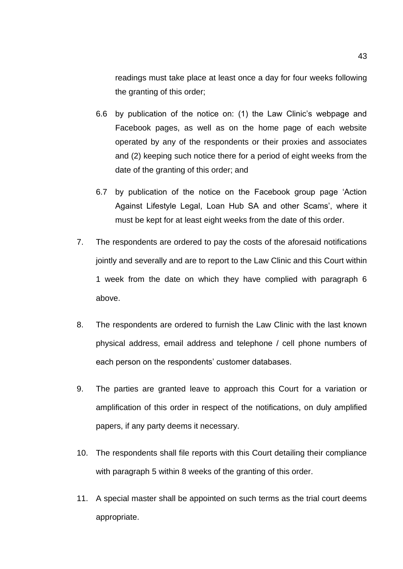readings must take place at least once a day for four weeks following the granting of this order;

- 6.6 by publication of the notice on: (1) the Law Clinic's webpage and Facebook pages, as well as on the home page of each website operated by any of the respondents or their proxies and associates and (2) keeping such notice there for a period of eight weeks from the date of the granting of this order; and
- 6.7 by publication of the notice on the Facebook group page 'Action Against Lifestyle Legal, Loan Hub SA and other Scams', where it must be kept for at least eight weeks from the date of this order.
- 7. The respondents are ordered to pay the costs of the aforesaid notifications jointly and severally and are to report to the Law Clinic and this Court within 1 week from the date on which they have complied with paragraph 6 above.
- 8. The respondents are ordered to furnish the Law Clinic with the last known physical address, email address and telephone / cell phone numbers of each person on the respondents' customer databases.
- 9. The parties are granted leave to approach this Court for a variation or amplification of this order in respect of the notifications, on duly amplified papers, if any party deems it necessary.
- 10. The respondents shall file reports with this Court detailing their compliance with paragraph [5](#page-41-1) within 8 weeks of the granting of this order.
- 11. A special master shall be appointed on such terms as the trial court deems appropriate.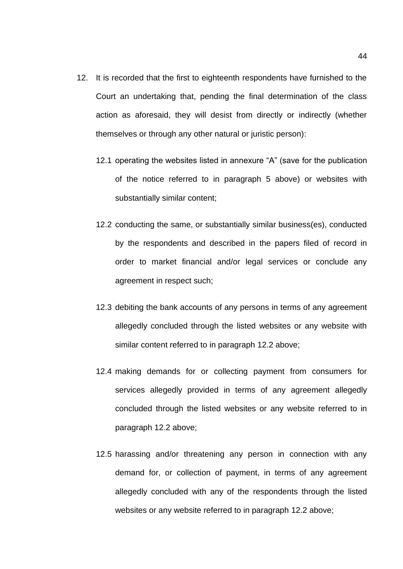- <span id="page-43-0"></span>12. It is recorded that the first to eighteenth respondents have furnished to the Court an undertaking that, pending the final determination of the class action as aforesaid, they will desist from directly or indirectly (whether themselves or through any other natural or juristic person):
	- 12.1 operating the websites listed in annexure "A" (save for the publication of the notice referred to in paragraph [5](#page-41-1) above) or websites with substantially similar content;
	- 12.2 conducting the same, or substantially similar business(es), conducted by the respondents and described in the papers filed of record in order to market financial and/or legal services or conclude any agreement in respect such;
	- 12.3 debiting the bank accounts of any persons in terms of any agreement allegedly concluded through the listed websites or any website with similar content referred to in paragraph [12.2](#page-43-0) above;
	- 12.4 making demands for or collecting payment from consumers for services allegedly provided in terms of any agreement allegedly concluded through the listed websites or any website referred to in paragraph [12.2](#page-43-0) above;
	- 12.5 harassing and/or threatening any person in connection with any demand for, or collection of payment, in terms of any agreement allegedly concluded with any of the respondents through the listed websites or any website referred to in paragraph [12.2](#page-43-0) above;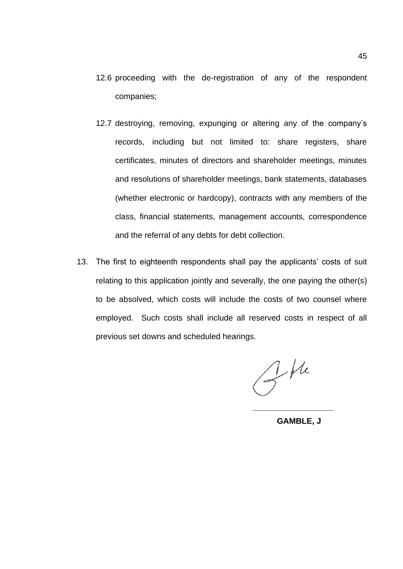- 12.6 proceeding with the de-registration of any of the respondent companies;
- 12.7 destroying, removing, expunging or altering any of the company's records, including but not limited to: share registers, share certificates, minutes of directors and shareholder meetings, minutes and resolutions of shareholder meetings, bank statements, databases (whether electronic or hardcopy), contracts with any members of the class, financial statements, management accounts, correspondence and the referral of any debts for debt collection.
- 13. The first to eighteenth respondents shall pay the applicants' costs of suit relating to this application jointly and severally, the one paying the other(s) to be absolved, which costs will include the costs of two counsel where employed. Such costs shall include all reserved costs in respect of all previous set downs and scheduled hearings.

 $Z^{\mu}$ 

**GAMBLE, J**

**\_\_\_\_\_\_\_\_\_\_\_\_\_\_\_\_\_\_**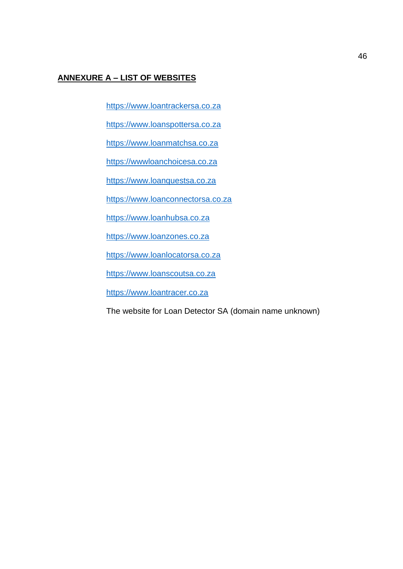# **ANNEXURE A – LIST OF WEBSITES**

[https://www.loantrackersa.co.za](https://www.loantrackersa.co.za/)

[https://www.loanspottersa.co.za](https://www.loanspottersa.co.za/)

[https://www.loanmatchsa.co.za](https://www.loanmatchsa.co.za/)

[https://wwwloanchoicesa.co.za](https://wwwloanchoicesa.co.za/)

[https://www.loanquestsa.co.za](https://www.loanquestsa.co.za/)

[https://www.loanconnectorsa.co.za](https://www.loanconnectorsa.co.za/)

[https://www.loanhubsa.co.za](https://www.loanhubsa.co.za/)

[https://www.loanzones.co.za](https://www.loanzones.co.za/)

[https://www.loanlocatorsa.co.za](https://www.loanlocatorsa.co.za/)

[https://www.loanscoutsa.co.za](https://www.loanscoutsa.co.za/)

[https://www.loantracer.co.za](https://www.loantracer.co.za/)

The website for Loan Detector SA (domain name unknown)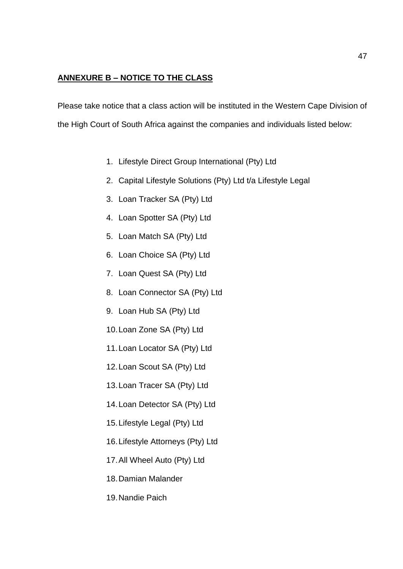# **ANNEXURE B – NOTICE TO THE CLASS**

Please take notice that a class action will be instituted in the Western Cape Division of the High Court of South Africa against the companies and individuals listed below:

- 1. Lifestyle Direct Group International (Pty) Ltd
- 2. Capital Lifestyle Solutions (Pty) Ltd t/a Lifestyle Legal
- 3. Loan Tracker SA (Pty) Ltd
- 4. Loan Spotter SA (Pty) Ltd
- 5. Loan Match SA (Pty) Ltd
- 6. Loan Choice SA (Pty) Ltd
- 7. Loan Quest SA (Pty) Ltd
- 8. Loan Connector SA (Pty) Ltd
- 9. Loan Hub SA (Pty) Ltd
- 10.Loan Zone SA (Pty) Ltd
- 11.Loan Locator SA (Pty) Ltd
- 12.Loan Scout SA (Pty) Ltd
- 13.Loan Tracer SA (Pty) Ltd
- 14.Loan Detector SA (Pty) Ltd
- 15.Lifestyle Legal (Pty) Ltd
- 16.Lifestyle Attorneys (Pty) Ltd
- 17.All Wheel Auto (Pty) Ltd
- 18.Damian Malander
- 19.Nandie Paich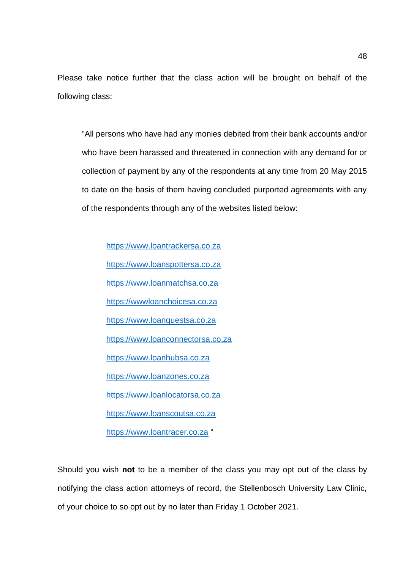Please take notice further that the class action will be brought on behalf of the following class:

"All persons who have had any monies debited from their bank accounts and/or who have been harassed and threatened in connection with any demand for or collection of payment by any of the respondents at any time from 20 May 2015 to date on the basis of them having concluded purported agreements with any of the respondents through any of the websites listed below:

[https://www.loantrackersa.co.za](https://www.loantrackersa.co.za/) [https://www.loanspottersa.co.za](https://www.loanspottersa.co.za/) [https://www.loanmatchsa.co.za](https://www.loanmatchsa.co.za/) [https://wwwloanchoicesa.co.za](https://wwwloanchoicesa.co.za/) [https://www.loanquestsa.co.za](https://www.loanquestsa.co.za/) [https://www.loanconnectorsa.co.za](https://www.loanconnectorsa.co.za/) [https://www.loanhubsa.co.za](https://www.loanhubsa.co.za/) [https://www.loanzones.co.za](https://www.loanzones.co.za/) [https://www.loanlocatorsa.co.za](https://www.loanlocatorsa.co.za/) [https://www.loanscoutsa.co.za](https://www.loanscoutsa.co.za/) [https://www.loantracer.co.za](https://www.loantracer.co.za/) "

Should you wish **not** to be a member of the class you may opt out of the class by notifying the class action attorneys of record, the Stellenbosch University Law Clinic, of your choice to so opt out by no later than Friday 1 October 2021.